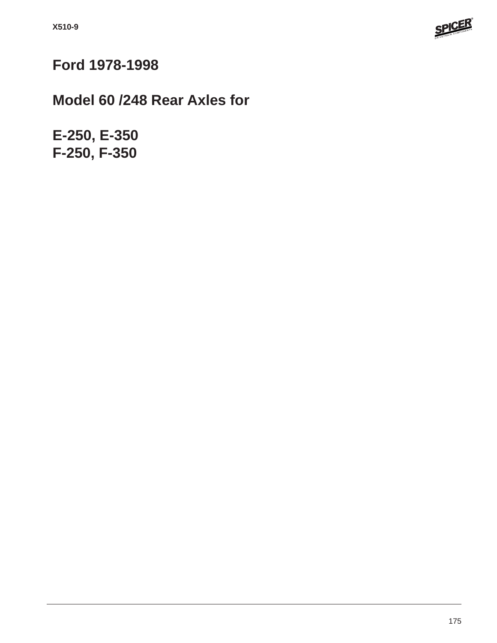

# **Ford 1978-1998**

# **Model 60 /248 Rear Axles for**

**E-250, E-350 F-250, F-350**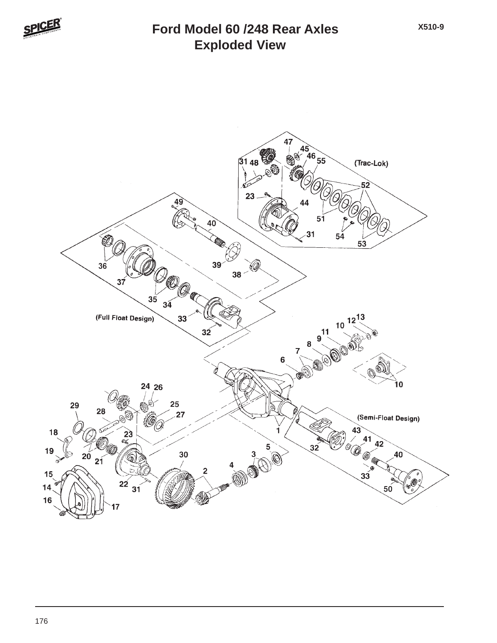

#### **Exploded View Ford Model 60 /248 Rear Axles**

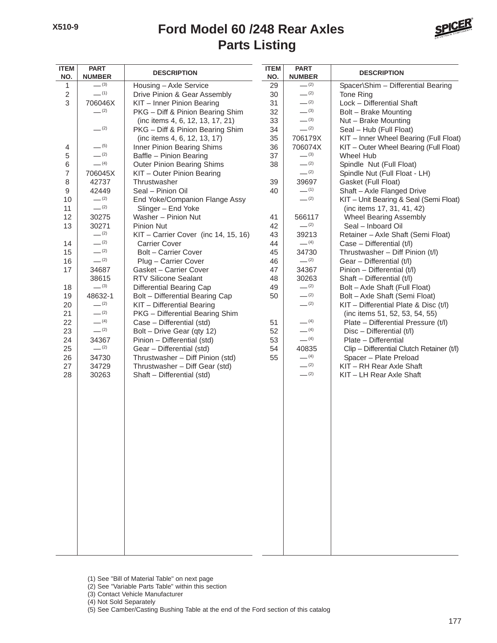

| <b>ITEM</b><br>NO.       | <b>PART</b><br><b>NUMBER</b> | <b>DESCRIPTION</b>                                            | <b>ITEM</b><br>NO. | <b>PART</b><br><b>NUMBER</b> | <b>DESCRIPTION</b>                                               |
|--------------------------|------------------------------|---------------------------------------------------------------|--------------------|------------------------------|------------------------------------------------------------------|
| 1                        | $-^{(3)}$                    | Housing - Axle Service                                        | 29                 | $- (2)$                      | Spacer\Shim - Differential Bearing                               |
| $\overline{c}$           | $-^{(1)}$                    | Drive Pinion & Gear Assembly                                  | 30                 | $-^{(2)}$                    | Tone Ring                                                        |
| $\,$ 3 $\,$              | 706046X                      | KIT - Inner Pinion Bearing                                    | 31                 | $-^{(2)}$                    | Lock - Differential Shaft                                        |
|                          | $-^{(2)}$                    | PKG - Diff & Pinion Bearing Shim                              | 32                 | $-^{(3)}$                    | Bolt - Brake Mounting                                            |
|                          |                              | (inc items 4, 6, 12, 13, 17, 21)                              | 33                 | $-^{(3)}$                    | Nut - Brake Mounting                                             |
|                          | $-^{(2)}$                    | PKG - Diff & Pinion Bearing Shim                              | 34                 | $-^{(2)}$                    | Seal - Hub (Full Float)                                          |
|                          |                              | (inc items 4, 6, 12, 13, 17)                                  | 35                 | 706179X                      | KIT - Inner Wheel Bearing (Full Float)                           |
| 4                        | $-^{(5)}$                    | Inner Pinion Bearing Shims                                    | 36                 | 706074X                      | KIT - Outer Wheel Bearing (Full Float)                           |
| 5                        | $- (2)$                      | Baffle - Pinion Bearing                                       | 37                 | $-^{(3)}$                    | Wheel Hub                                                        |
| $\,6$                    | $- (4)$                      | <b>Outer Pinion Bearing Shims</b>                             | 38                 | $-^{(2)}$                    | Spindle Nut (Full Float)                                         |
| $\overline{\mathcal{I}}$ | 706045X                      | KIT - Outer Pinion Bearing                                    |                    | $-^{(2)}$                    | Spindle Nut (Full Float - LH)                                    |
| 8                        | 42737                        | Thrustwasher                                                  | 39                 | 39697                        | Gasket (Full Float)                                              |
| 9                        | 42449                        | Seal - Pinion Oil                                             | 40                 | $-$ (1)                      | Shaft - Axle Flanged Drive                                       |
| 10                       | $-^{(2)}$                    | End Yoke/Companion Flange Assy                                |                    | $-^{(2)}$                    | KIT - Unit Bearing & Seal (Semi Float)                           |
| 11                       | $-^{(2)}$                    | Slinger - End Yoke                                            |                    |                              | (inc items 17, 31, 41, 42)                                       |
| 12                       | 30275                        | Washer - Pinion Nut                                           | 41                 | 566117                       | Wheel Bearing Assembly                                           |
| 13                       | 30271                        | Pinion Nut                                                    | 42                 | $-^{(2)}$                    | Seal - Inboard Oil                                               |
|                          | $-^{(2)}$                    | KIT - Carrier Cover (inc 14, 15, 16)                          | 43                 | 39213                        | Retainer - Axle Shaft (Semi Float)                               |
| 14                       | $-^{(2)}$                    | <b>Carrier Cover</b>                                          | 44                 | $-$ (4)                      | Case - Differential (t/l)                                        |
| 15                       | $-^{(2)}$<br>$-^{(2)}$       | <b>Bolt - Carrier Cover</b>                                   | 45                 | 34730                        | Thrustwasher - Diff Pinion (t/l)                                 |
| 16                       |                              | Plug - Carrier Cover                                          | 46                 | $-$ (2)                      | Gear - Differential (t/l)                                        |
| 17                       | 34687                        | Gasket - Carrier Cover                                        | 47                 | 34367                        | Pinion - Differential (t/l)                                      |
|                          | 38615<br>$-^{(3)}$           | <b>RTV Silicone Sealant</b>                                   | 48                 | 30263<br>$-^{(2)}$           | Shaft - Differential (t/l)                                       |
| 18<br>19                 | 48632-1                      | Differential Bearing Cap                                      | 49<br>50           | $-^{(2)}$                    | Bolt - Axle Shaft (Full Float)<br>Bolt - Axle Shaft (Semi Float) |
| 20                       | $-^{(2)}$                    | Bolt - Differential Bearing Cap<br>KIT - Differential Bearing |                    | $-^{(2)}$                    | KIT - Differential Plate & Disc (t/l)                            |
| 21                       | $-^{(2)}$                    | PKG - Differential Bearing Shim                               |                    |                              | (inc items 51, 52, 53, 54, 55)                                   |
| 22                       | $- (4)$                      | Case - Differential (std)                                     | 51                 | $-$ (4)                      | Plate - Differential Pressure (t/l)                              |
| 23                       | $-^{(2)}$                    | Bolt - Drive Gear (qty 12)                                    | 52                 | $- (4)$                      | $Disc - Differential (t/l)$                                      |
| 24                       | 34367                        | Pinion - Differential (std)                                   | 53                 | $- (4)$                      | Plate - Differential                                             |
| 25                       | $-^{(2)}$                    | Gear - Differential (std)                                     | 54                 | 40835                        | Clip - Differential Clutch Retainer (t/l)                        |
| 26                       | 34730                        | Thrustwasher - Diff Pinion (std)                              | 55                 | $- (4)$                      | Spacer - Plate Preload                                           |
| 27                       | 34729                        | Thrustwasher - Diff Gear (std)                                |                    | $-^{(2)}$                    | KIT - RH Rear Axle Shaft                                         |
| 28                       | 30263                        | Shaft - Differential (std)                                    |                    | $-^{(2)}$                    | KIT - LH Rear Axle Shaft                                         |
|                          |                              |                                                               |                    |                              |                                                                  |
|                          |                              |                                                               |                    |                              |                                                                  |
|                          |                              |                                                               |                    |                              |                                                                  |
|                          |                              |                                                               |                    |                              |                                                                  |
|                          |                              |                                                               |                    |                              |                                                                  |
|                          |                              |                                                               |                    |                              |                                                                  |
|                          |                              |                                                               |                    |                              |                                                                  |
|                          |                              |                                                               |                    |                              |                                                                  |
|                          |                              |                                                               |                    |                              |                                                                  |
|                          |                              |                                                               |                    |                              |                                                                  |
|                          |                              |                                                               |                    |                              |                                                                  |
|                          |                              |                                                               |                    |                              |                                                                  |
|                          |                              |                                                               |                    |                              |                                                                  |
|                          |                              |                                                               |                    |                              |                                                                  |
|                          |                              |                                                               |                    |                              |                                                                  |
|                          |                              |                                                               |                    |                              |                                                                  |
|                          |                              |                                                               |                    |                              |                                                                  |
|                          |                              |                                                               |                    |                              |                                                                  |
|                          |                              |                                                               |                    |                              |                                                                  |
|                          |                              |                                                               |                    |                              |                                                                  |

- (1) See "Bill of Material Table" on next page
- (2) See "Variable Parts Table" within this section
- (3) Contact Vehicle Manufacturer

(4) Not Sold Separately

(5) See Camber/Casting Bushing Table at the end of the Ford section of this catalog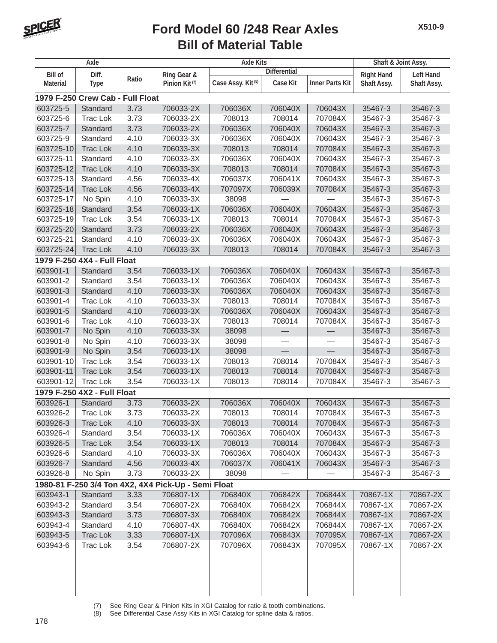

|                 | Axle                             |       |                                                     | <b>Axle Kits</b>              |                     |                        | Shaft & Joint Assy. |                  |
|-----------------|----------------------------------|-------|-----------------------------------------------------|-------------------------------|---------------------|------------------------|---------------------|------------------|
| <b>Bill of</b>  | Diff.                            |       | Ring Gear &                                         |                               | <b>Differential</b> |                        | <b>Right Hand</b>   | <b>Left Hand</b> |
| <b>Material</b> | <b>Type</b>                      | Ratio | Pinion Kit <sup>(7)</sup>                           | Case Assy. Kit <sup>(8)</sup> | <b>Case Kit</b>     | <b>Inner Parts Kit</b> | Shaft Assy.         | Shaft Assy.      |
|                 | 1979 F-250 Crew Cab - Full Float |       |                                                     |                               |                     |                        |                     |                  |
| 603725-5        | Standard                         | 3.73  | 706033-2X                                           | 706036X                       | 706040X             | 706043X                | 35467-3             | 35467-3          |
| 603725-6        | <b>Trac Lok</b>                  | 3.73  | 706033-2X                                           | 708013                        | 708014              | 707084X                | 35467-3             | 35467-3          |
| 603725-7        | Standard                         | 3.73  | 706033-2X                                           | 706036X                       | 706040X             | 706043X                | 35467-3             | 35467-3          |
| 603725-9        | Standard                         | 4.10  | 706033-3X                                           | 706036X                       | 706040X             | 706043X                | 35467-3             | 35467-3          |
| 603725-10       | <b>Trac Lok</b>                  | 4.10  | 706033-3X                                           | 708013                        | 708014              | 707084X                | 35467-3             | 35467-3          |
| 603725-11       | Standard                         | 4.10  | 706033-3X                                           | 706036X                       | 706040X             | 706043X                | 35467-3             | 35467-3          |
| 603725-12       | <b>Trac Lok</b>                  | 4.10  | 706033-3X                                           | 708013                        | 708014              | 707084X                | 35467-3             | 35467-3          |
| 603725-13       | Standard                         | 4.56  | 706033-4X                                           | 706037X                       | 706041X             | 706043X                | 35467-3             | 35467-3          |
| 603725-14       | <b>Trac Lok</b>                  | 4.56  | 706033-4X                                           | 707097X                       | 706039X             | 707084X                | 35467-3             | 35467-3          |
| 603725-17       | No Spin                          | 4.10  | 706033-3X                                           | 38098                         |                     |                        | 35467-3             | 35467-3          |
| 603725-18       | Standard                         | 3.54  | 706033-1X                                           | 706036X                       | 706040X             | 706043X                | 35467-3             | 35467-3          |
| 603725-19       | <b>Trac Lok</b>                  | 3.54  | 706033-1X                                           | 708013                        | 708014              | 707084X                | 35467-3             | 35467-3          |
| 603725-20       | Standard                         | 3.73  | 706033-2X                                           | 706036X                       | 706040X             | 706043X                | 35467-3             | 35467-3          |
| 603725-21       | Standard                         | 4.10  | 706033-3X                                           | 706036X                       | 706040X             | 706043X                | 35467-3             | 35467-3          |
| 603725-24       | <b>Trac Lok</b>                  | 4.10  | 706033-3X                                           | 708013                        | 708014              | 707084X                | 35467-3             | 35467-3          |
|                 | 1979 F-250 4X4 - Full Float      |       |                                                     |                               |                     |                        |                     |                  |
| 603901-1        | Standard                         | 3.54  | 706033-1X                                           | 706036X                       | 706040X             | 706043X                | 35467-3             | 35467-3          |
| 603901-2        | Standard                         | 3.54  | 706033-1X                                           | 706036X                       | 706040X             | 706043X                | 35467-3             | 35467-3          |
| 603901-3        | Standard                         | 4.10  | 706033-3X                                           | 706036X                       | 706040X             | 706043X                | 35467-3             | 35467-3          |
| 603901-4        | <b>Trac Lok</b>                  | 4.10  | 706033-3X                                           | 708013                        | 708014              | 707084X                | 35467-3             | 35467-3          |
| 603901-5        | Standard                         | 4.10  | 706033-3X                                           | 706036X                       | 706040X             | 706043X                | 35467-3             | 35467-3          |
| 603901-6        | <b>Trac Lok</b>                  | 4.10  | 706033-3X                                           | 708013                        | 708014              | 707084X                | 35467-3             | 35467-3          |
| 603901-7        | No Spin                          | 4.10  | 706033-3X                                           | 38098                         |                     |                        | 35467-3             | 35467-3          |
| 603901-8        | No Spin                          | 4.10  | 706033-3X                                           | 38098                         |                     |                        | 35467-3             | 35467-3          |
| 603901-9        | No Spin                          | 3.54  | 706033-1X                                           | 38098                         |                     | $\equiv$               | 35467-3             | 35467-3          |
| 603901-10       | <b>Trac Lok</b>                  | 3.54  | 706033-1X                                           | 708013                        | 708014              | 707084X                | 35467-3             | 35467-3          |
| 603901-11       | <b>Trac Lok</b>                  | 3.54  | 706033-1X                                           | 708013                        | 708014              | 707084X                | 35467-3             | 35467-3          |
| 603901-12       | <b>Trac Lok</b>                  | 3.54  | 706033-1X                                           | 708013                        | 708014              | 707084X                | 35467-3             | 35467-3          |
|                 | 1979 F-250 4X2 - Full Float      |       |                                                     |                               |                     |                        |                     |                  |
| 603926-1        | Standard                         | 3.73  | 706033-2X                                           | 706036X                       | 706040X             | 706043X                | 35467-3             | 35467-3          |
| 603926-2        | <b>Trac Lok</b>                  | 3.73  | 706033-2X                                           | 708013                        | 708014              | 707084X                | 35467-3             | 35467-3          |
| 603926-3        | <b>Trac Lok</b>                  | 4.10  | 706033-3X                                           | 708013                        | 708014              | 707084X                | 35467-3             | 35467-3          |
| 603926-4        | Standard                         | 3.54  | 706033-1X                                           | 706036X                       | 706040X             | 706043X                | 35467-3             | 35467-3          |
| 603926-5        | <b>Trac Lok</b>                  | 3.54  | 706033-1X                                           | 708013                        | 708014              | 707084X                | 35467-3             | 35467-3          |
| 603926-6        | Standard                         | 4.10  | 706033-3X                                           | 706036X                       | 706040X             | 706043X                | 35467-3             | 35467-3          |
| 603926-7        | Standard                         | 4.56  | 706033-4X                                           | 706037X                       | 706041X             | 706043X                | 35467-3             | 35467-3          |
| 603926-8        | No Spin                          | 3.73  | 706033-2X                                           | 38098                         |                     |                        | 35467-3             | 35467-3          |
|                 |                                  |       | 1980-81 F-250 3/4 Ton 4X2, 4X4 Pick-Up - Semi Float |                               |                     |                        |                     |                  |
| 603943-1        | Standard                         | 3.33  | 706807-1X                                           | 706840X                       | 706842X             | 706844X                | 70867-1X            | 70867-2X         |
| 603943-2        | Standard                         | 3.54  | 706807-2X                                           | 706840X                       | 706842X             | 706844X                | 70867-1X            | 70867-2X         |
| 603943-3        | Standard                         | 3.73  | 706807-3X                                           | 706840X                       | 706842X             | 706844X                | 70867-1X            | 70867-2X         |
| 603943-4        | Standard                         | 4.10  | 706807-4X                                           | 706840X                       | 706842X             | 706844X                | 70867-1X            | 70867-2X         |
| 603943-5        | <b>Trac Lok</b>                  | 3.33  | 706807-1X                                           | 707096X                       | 706843X             | 707095X                | 70867-1X            | 70867-2X         |
| 603943-6        | <b>Trac Lok</b>                  | 3.54  | 706807-2X                                           | 707096X                       | 706843X             | 707095X                | 70867-1X            | 70867-2X         |
|                 |                                  |       |                                                     |                               |                     |                        |                     |                  |

(7) See Ring Gear & Pinion Kits in XGI Catalog for ratio & tooth combinations.<br>(8) See Differential Case Assy Kits in XGI Catalog for spline data & ratios.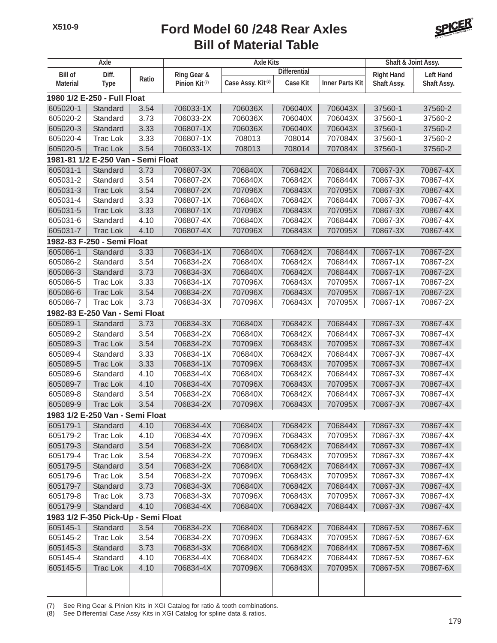

|                 | Axle                                |                   |                           | <b>Axle Kits</b>              |                     |                        | Shaft & Joint Assy. |                  |
|-----------------|-------------------------------------|-------------------|---------------------------|-------------------------------|---------------------|------------------------|---------------------|------------------|
| <b>Bill of</b>  | Diff.                               |                   | Ring Gear &               |                               | <b>Differential</b> |                        | <b>Right Hand</b>   | <b>Left Hand</b> |
| <b>Material</b> | <b>Type</b>                         | Ratio             | Pinion Kit <sup>(7)</sup> | Case Assy. Kit <sup>(8)</sup> | <b>Case Kit</b>     | <b>Inner Parts Kit</b> | Shaft Assy.         | Shaft Assy.      |
|                 | 1980 1/2 E-250 - Full Float         |                   |                           |                               |                     |                        |                     |                  |
| 605020-1        | Standard                            | 3.54              | 706033-1X                 | 706036X                       | 706040X             | 706043X                | 37560-1             | 37560-2          |
| 605020-2        | Standard                            | 3.73              | 706033-2X                 | 706036X                       | 706040X             | 706043X                | 37560-1             | 37560-2          |
| 605020-3        | Standard                            | 3.33              | 706807-1X                 | 706036X                       | 706040X             | 706043X                | 37560-1             | 37560-2          |
| 605020-4        | <b>Trac Lok</b>                     | 3.33              | 706807-1X                 | 708013                        | 708014              | 707084X                | 37560-1             | 37560-2          |
| 605020-5        | <b>Trac Lok</b>                     | 3.54              | 706033-1X                 | 708013                        | 708014              | 707084X                | 37560-1             | 37560-2          |
|                 | 1981-81 1/2 E-250 Van -             | <b>Semi Float</b> |                           |                               |                     |                        |                     |                  |
| 605031-1        | Standard                            | 3.73              | 706807-3X                 | 706840X                       | 706842X             | 706844X                | 70867-3X            | 70867-4X         |
| 605031-2        | Standard                            | 3.54              | 706807-2X                 | 706840X                       | 706842X             | 706844X                | 70867-3X            | 70867-4X         |
| 605031-3        | <b>Trac Lok</b>                     | 3.54              | 706807-2X                 | 707096X                       | 706843X             | 707095X                | 70867-3X            | 70867-4X         |
| 605031-4        | Standard                            | 3.33              | 706807-1X                 | 706840X                       | 706842X             | 706844X                | 70867-3X            | 70867-4X         |
| 605031-5        | <b>Trac Lok</b>                     | 3.33              | 706807-1X                 | 707096X                       | 706843X             | 707095X                | 70867-3X            | 70867-4X         |
| 605031-6        | Standard                            | 4.10              | 706807-4X                 | 706840X                       | 706842X             | 706844X                | 70867-3X            | 70867-4X         |
| 605031-7        | <b>Trac Lok</b>                     | 4.10              | 706807-4X                 | 707096X                       | 706843X             | 707095X                | 70867-3X            | 70867-4X         |
|                 | 1982-83 F-250 - Semi Float          |                   |                           |                               |                     |                        |                     |                  |
| 605086-1        | Standard                            | 3.33              | 706834-1X                 | 706840X                       | 706842X             | 706844X                | 70867-1X            | 70867-2X         |
| 605086-2        | Standard                            | 3.54              | 706834-2X                 | 706840X                       | 706842X             | 706844X                | 70867-1X            | 70867-2X         |
| 605086-3        | Standard                            | 3.73              | 706834-3X                 | 706840X                       | 706842X             | 706844X                | 70867-1X            | 70867-2X         |
| 605086-5        | <b>Trac Lok</b>                     | 3.33              | 706834-1X                 | 707096X                       | 706843X             | 707095X                | 70867-1X            | 70867-2X         |
| 605086-6        | <b>Trac Lok</b>                     | 3.54              | 706834-2X                 | 707096X                       | 706843X             | 707095X                | 70867-1X            | 70867-2X         |
| 605086-7        | <b>Trac Lok</b>                     | 3.73              | 706834-3X                 | 707096X                       | 706843X             | 707095X                | 70867-1X            | 70867-2X         |
|                 | 1982-83 E-250 Van - Semi Float      |                   |                           |                               |                     |                        |                     |                  |
| 605089-1        | Standard                            | 3.73              | 706834-3X                 | 706840X                       | 706842X             | 706844X                | 70867-3X            | 70867-4X         |
| 605089-2        | Standard                            | 3.54              | 706834-2X                 | 706840X                       | 706842X             | 706844X                | 70867-3X            | 70867-4X         |
| 605089-3        | <b>Trac Lok</b>                     | 3.54              | 706834-2X                 | 707096X                       | 706843X             | 707095X                | 70867-3X            | 70867-4X         |
| 605089-4        | Standard                            | 3.33              | 706834-1X                 | 706840X                       | 706842X             | 706844X                | 70867-3X            | 70867-4X         |
| 605089-5        | <b>Trac Lok</b>                     | 3.33              | 706834-1X                 | 707096X                       | 706843X             | 707095X                | 70867-3X            | 70867-4X         |
| 605089-6        | Standard                            | 4.10              | 706834-4X                 | 706840X                       | 706842X             | 706844X                | 70867-3X            | 70867-4X         |
| 605089-7        | <b>Trac Lok</b>                     | 4.10              | 706834-4X                 | 707096X                       | 706843X             | 707095X                | 70867-3X            | 70867-4X         |
| 605089-8        | Standard                            | 3.54              | 706834-2X                 | 706840X                       | 706842X             | 706844X                | 70867-3X            | 70867-4X         |
| 605089-9        | <b>Trac Lok</b>                     | 3.54              | 706834-2X                 | 707096X                       | 706843X             | 707095X                | 70867-3X            | 70867-4X         |
|                 | 1983 1/2 E-250 Van - Semi Float     |                   |                           |                               |                     |                        |                     |                  |
| 605179-1        | Standard                            | 4.10              | 706834-4X                 | 706840X                       | 706842X             | 706844X                | 70867-3X            | 70867-4X         |
| 605179-2        | Trac Lok                            | 4.10              | 706834-4X                 | 707096X                       | 706843X             | 707095X                | 70867-3X            | 70867-4X         |
| 605179-3        | Standard                            | 3.54              | 706834-2X                 | 706840X                       | 706842X             | 706844X                | 70867-3X            | 70867-4X         |
| 605179-4        | Trac Lok                            | 3.54              | 706834-2X                 | 707096X                       | 706843X             | 707095X                | 70867-3X            | 70867-4X         |
| 605179-5        | Standard                            | 3.54              | 706834-2X                 | 706840X                       | 706842X             | 706844X                | 70867-3X            | 70867-4X         |
| 605179-6        | <b>Trac Lok</b>                     | 3.54              | 706834-2X                 | 707096X                       | 706843X             | 707095X                | 70867-3X            | 70867-4X         |
| 605179-7        | Standard                            | 3.73              | 706834-3X                 | 706840X                       | 706842X             | 706844X                | 70867-3X            | 70867-4X         |
| 605179-8        | <b>Trac Lok</b>                     | 3.73              | 706834-3X                 | 707096X                       | 706843X             | 707095X                | 70867-3X            | 70867-4X         |
| 605179-9        | Standard                            | 4.10              | 706834-4X                 | 706840X                       | 706842X             | 706844X                | 70867-3X            | 70867-4X         |
|                 | 1983 1/2 F-350 Pick-Up - Semi Float |                   |                           |                               |                     |                        |                     |                  |
| 605145-1        | Standard                            | 3.54              | 706834-2X                 | 706840X                       | 706842X             | 706844X                | 70867-5X            | 70867-6X         |
| 605145-2        | <b>Trac Lok</b>                     | 3.54              | 706834-2X                 | 707096X                       | 706843X             | 707095X                | 70867-5X            | 70867-6X         |
| 605145-3        | Standard                            | 3.73              | 706834-3X                 | 706840X                       | 706842X             | 706844X                | 70867-5X            | 70867-6X         |
| 605145-4        | Standard                            | 4.10              | 706834-4X                 | 706840X                       | 706842X             | 706844X                | 70867-5X            | 70867-6X         |
| 605145-5        | <b>Trac Lok</b>                     | 4.10              | 706834-4X                 | 707096X                       | 706843X             | 707095X                | 70867-5X            | 70867-6X         |
|                 |                                     |                   |                           |                               |                     |                        |                     |                  |
|                 |                                     |                   |                           |                               |                     |                        |                     |                  |

(7) See Ring Gear & Pinion Kits in XGI Catalog for ratio & tooth combinations.

(8) See Differential Case Assy Kits in XGI Catalog for spline data & ratios.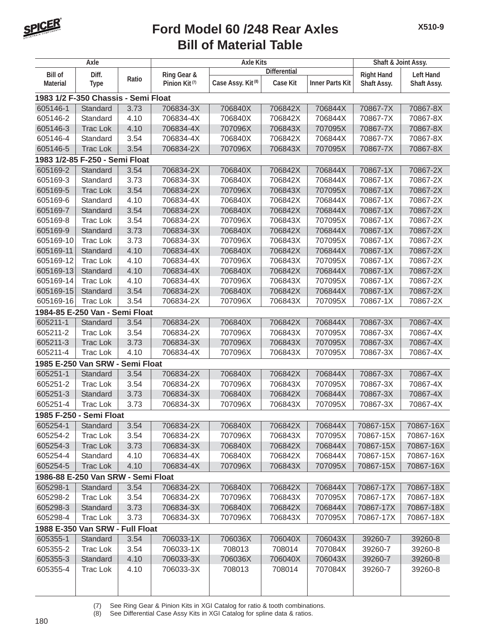

|                 | Axle                                |       |                           | <b>Axle Kits</b>              |                     |                        | Shaft & Joint Assy. |                    |
|-----------------|-------------------------------------|-------|---------------------------|-------------------------------|---------------------|------------------------|---------------------|--------------------|
| <b>Bill of</b>  | Diff.                               |       | Ring Gear &               |                               | <b>Differential</b> |                        | <b>Right Hand</b>   | <b>Left Hand</b>   |
| <b>Material</b> | <b>Type</b>                         | Ratio | Pinion Kit <sup>(7)</sup> | Case Assy. Kit <sup>(8)</sup> | <b>Case Kit</b>     | <b>Inner Parts Kit</b> | Shaft Assy.         | <b>Shaft Assy.</b> |
|                 | 1983 1/2 F-350 Chassis - Semi Float |       |                           |                               |                     |                        |                     |                    |
| 605146-1        | Standard                            | 3.73  | 706834-3X                 | 706840X                       | 706842X             | 706844X                | 70867-7X            | 70867-8X           |
| 605146-2        | Standard                            | 4.10  | 706834-4X                 | 706840X                       | 706842X             | 706844X                | 70867-7X            | 70867-8X           |
| 605146-3        | <b>Trac Lok</b>                     | 4.10  | 706834-4X                 | 707096X                       | 706843X             | 707095X                | 70867-7X            | 70867-8X           |
| 605146-4        | Standard                            | 3.54  | 706834-4X                 | 706840X                       | 706842X             | 706844X                | 70867-7X            | 70867-8X           |
| 605146-5        | <b>Trac Lok</b>                     | 3.54  | 706834-2X                 | 707096X                       | 706843X             | 707095X                | 70867-7X            | 70867-8X           |
|                 | 1983 1/2-85 F-250 - Semi Float      |       |                           |                               |                     |                        |                     |                    |
| 605169-2        | Standard                            | 3.54  | 706834-2X                 | 706840X                       | 706842X             | 706844X                | 70867-1X            | 70867-2X           |
| 605169-3        | Standard                            | 3.73  | 706834-3X                 | 706840X                       | 706842X             | 706844X                | 70867-1X            | 70867-2X           |
| 605169-5        | <b>Trac Lok</b>                     | 3.54  | 706834-2X                 | 707096X                       | 706843X             | 707095X                | 70867-1X            | 70867-2X           |
| 605169-6        | Standard                            | 4.10  | 706834-4X                 | 706840X                       | 706842X             | 706844X                | 70867-1X            | 70867-2X           |
| 605169-7        | Standard                            | 3.54  | 706834-2X                 | 706840X                       | 706842X             | 706844X                | 70867-1X            | 70867-2X           |
| 605169-8        | <b>Trac Lok</b>                     | 3.54  | 706834-2X                 | 707096X                       | 706843X             | 707095X                | 70867-1X            | 70867-2X           |
| 605169-9        | Standard                            | 3.73  | 706834-3X                 | 706840X                       | 706842X             | 706844X                | 70867-1X            | 70867-2X           |
| 605169-10       | <b>Trac Lok</b>                     | 3.73  | 706834-3X                 | 707096X                       | 706843X             | 707095X                | 70867-1X            | 70867-2X           |
| 605169-11       | Standard                            | 4.10  | 706834-4X                 | 706840X                       | 706842X             | 706844X                | 70867-1X            | 70867-2X           |
| 605169-12       | <b>Trac Lok</b>                     | 4.10  | 706834-4X                 | 707096X                       | 706843X             | 707095X                | 70867-1X            | 70867-2X           |
| 605169-13       | Standard                            | 4.10  | 706834-4X                 | 706840X                       | 706842X             | 706844X                | 70867-1X            | 70867-2X           |
| 605169-14       | <b>Trac Lok</b>                     | 4.10  | 706834-4X                 | 707096X                       | 706843X             | 707095X                | 70867-1X            | 70867-2X           |
| 605169-15       | Standard                            | 3.54  | 706834-2X                 | 706840X                       | 706842X             | 706844X                | 70867-1X            | 70867-2X           |
| 605169-16       | <b>Trac Lok</b>                     | 3.54  | 706834-2X                 | 707096X                       | 706843X             | 707095X                | 70867-1X            | 70867-2X           |
|                 | 1984-85 E-250 Van - Semi Float      |       |                           |                               |                     |                        |                     |                    |
| 605211-1        | Standard                            | 3.54  | 706834-2X                 | 706840X                       | 706842X             | 706844X                | 70867-3X            | 70867-4X           |
| 605211-2        | <b>Trac Lok</b>                     | 3.54  | 706834-2X                 | 707096X                       | 706843X             | 707095X                | 70867-3X            | 70867-4X           |
| 605211-3        | <b>Trac Lok</b>                     | 3.73  | 706834-3X                 | 707096X                       | 706843X             | 707095X                | 70867-3X            | 70867-4X           |
| 605211-4        | <b>Trac Lok</b>                     | 4.10  | 706834-4X                 | 707096X                       | 706843X             | 707095X                | 70867-3X            | 70867-4X           |
|                 | 1985 E-250 Van SRW - Semi Float     |       |                           |                               |                     |                        |                     |                    |
| 605251-1        | Standard                            | 3.54  | 706834-2X                 | 706840X                       | 706842X             | 706844X                | 70867-3X            | 70867-4X           |
| 605251-2        | <b>Trac Lok</b>                     | 3.54  | 706834-2X                 | 707096X                       | 706843X             | 707095X                | 70867-3X            | 70867-4X           |
| 605251-3        | Standard                            | 3.73  | 706834-3X                 | 706840X                       | 706842X             | 706844X                | 70867-3X            | 70867-4X           |
| 605251-4        | <b>Trac Lok</b>                     | 3.73  | 706834-3X                 | 707096X                       | 706843X             | 707095X                | 70867-3X            | 70867-4X           |
|                 | 1985 F-250 - Semi Float             |       |                           |                               |                     |                        |                     |                    |
| 605254-1        | Standard                            | 3.54  | 706834-2X                 | 706840X                       | 706842X             | 706844X                | 70867-15X           | 70867-16X          |
| 605254-2        | Trac Lok                            | 3.54  | 706834-2X                 | 707096X                       | 706843X             | 707095X                | 70867-15X           | 70867-16X          |
| 605254-3        | <b>Trac Lok</b>                     | 3.73  | 706834-3X                 | 706840X                       | 706842X             | 706844X                | 70867-15X           | 70867-16X          |
| 605254-4        | Standard                            | 4.10  | 706834-4X                 | 706840X                       | 706842X             | 706844X                | 70867-15X           | 70867-16X          |
| 605254-5        | <b>Trac Lok</b>                     | 4.10  | 706834-4X                 | 707096X                       | 706843X             | 707095X                | 70867-15X           | 70867-16X          |
|                 | 1986-88 E-250 Van SRW - Semi Float  |       |                           |                               |                     |                        |                     |                    |
| 605298-1        | Standard                            | 3.54  | 706834-2X                 | 706840X                       | 706842X             | 706844X                | 70867-17X           | 70867-18X          |
| 605298-2        | <b>Trac Lok</b>                     | 3.54  | 706834-2X                 | 707096X                       | 706843X             | 707095X                | 70867-17X           | 70867-18X          |
| 605298-3        | Standard                            | 3.73  | 706834-3X                 | 706840X                       | 706842X             | 706844X                | 70867-17X           | 70867-18X          |
| 605298-4        | <b>Trac Lok</b>                     | 3.73  | 706834-3X                 | 707096X                       | 706843X             | 707095X                | 70867-17X           | 70867-18X          |
|                 | 1988 E-350 Van SRW - Full Float     |       |                           |                               |                     |                        |                     |                    |
| 605355-1        | Standard                            | 3.54  | 706033-1X                 | 706036X                       | 706040X             | 706043X                | 39260-7             | 39260-8            |
| 605355-2        | Trac Lok                            | 3.54  | 706033-1X                 | 708013                        | 708014              | 707084X                | 39260-7             | 39260-8            |
| 605355-3        | Standard                            | 4.10  | 706033-3X                 | 706036X                       | 706040X             | 706043X                | 39260-7             | 39260-8            |
| 605355-4        | Trac Lok                            | 4.10  | 706033-3X                 | 708013                        | 708014              | 707084X                | 39260-7             | 39260-8            |
|                 |                                     |       |                           |                               |                     |                        |                     |                    |
|                 |                                     |       |                           |                               |                     |                        |                     |                    |

(7) See Ring Gear & Pinion Kits in XGI Catalog for ratio & tooth combinations.<br>(8) See Differential Case Assy Kits in XGI Catalog for spline data & ratios.

See Differential Case Assy Kits in XGI Catalog for spline data & ratios.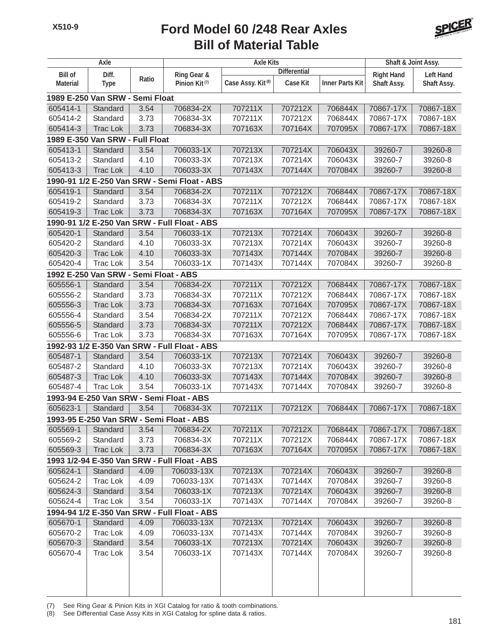

|                 | Axle                                  |       |                                              | <b>Axle Kits</b>              |                     |                        | Shaft & Joint Assy. |                  |
|-----------------|---------------------------------------|-------|----------------------------------------------|-------------------------------|---------------------|------------------------|---------------------|------------------|
| <b>Bill of</b>  | Diff.                                 |       | Ring Gear &                                  |                               | <b>Differential</b> |                        | <b>Right Hand</b>   | <b>Left Hand</b> |
| <b>Material</b> | <b>Type</b>                           | Ratio | Pinion Kit <sup>(7)</sup>                    | Case Assy. Kit <sup>(8)</sup> | <b>Case Kit</b>     | <b>Inner Parts Kit</b> | Shaft Assy.         | Shaft Assy.      |
|                 | 1989 E-250 Van SRW - Semi Float       |       |                                              |                               |                     |                        |                     |                  |
| 605414-1        | Standard                              | 3.54  | 706834-2X                                    | 707211X                       | 707212X             | 706844X                | 70867-17X           | 70867-18X        |
| 605414-2        | Standard                              | 3.73  | 706834-3X                                    | 707211X                       | 707212X             | 706844X                | 70867-17X           | 70867-18X        |
| 605414-3        | <b>Trac Lok</b>                       | 3.73  | 706834-3X                                    | 707163X                       | 707164X             | 707095X                | 70867-17X           | 70867-18X        |
|                 | 1989 E-350 Van SRW - Full Float       |       |                                              |                               |                     |                        |                     |                  |
| 605413-1        | Standard                              | 3.54  | 706033-1X                                    | 707213X                       | 707214X             | 706043X                | 39260-7             | 39260-8          |
| 605413-2        | Standard                              | 4.10  | 706033-3X                                    | 707213X                       | 707214X             | 706043X                | 39260-7             | 39260-8          |
| 605413-3        | <b>Trac Lok</b>                       | 4.10  | 706033-3X                                    | 707143X                       | 707144X             | 707084X                | 39260-7             | 39260-8          |
|                 |                                       |       | 1990-91 1/2 E-250 Van SRW - Semi Float - ABS |                               |                     |                        |                     |                  |
| 605419-1        | Standard                              | 3.54  | 706834-2X                                    | 707211X                       | 707212X             | 706844X                | 70867-17X           | 70867-18X        |
| 605419-2        | Standard                              | 3.73  | 706834-3X                                    | 707211X                       | 707212X             | 706844X                | 70867-17X           | 70867-18X        |
| 605419-3        | <b>Trac Lok</b>                       | 3.73  | 706834-3X                                    | 707163X                       | 707164X             | 707095X                | 70867-17X           | 70867-18X        |
|                 |                                       |       | 1990-91 1/2 E-250 Van SRW - Full Float - ABS |                               |                     |                        |                     |                  |
| 605420-1        | Standard                              | 3.54  | 706033-1X                                    | 707213X                       | 707214X             | 706043X                | 39260-7             | 39260-8          |
| 605420-2        | Standard                              | 4.10  | 706033-3X                                    | 707213X                       | 707214X             | 706043X                | 39260-7             | 39260-8          |
| 605420-3        | <b>Trac Lok</b>                       | 4.10  | 706033-3X                                    | 707143X                       | 707144X             | 707084X                | 39260-7             | 39260-8          |
| 605420-4        | <b>Trac Lok</b>                       | 3.54  | 706033-1X                                    | 707143X                       | 707144X             | 707084X                | 39260-7             | 39260-8          |
|                 | 1992 E-250 Van SRW - Semi Float - ABS |       |                                              |                               |                     |                        |                     |                  |
| 605556-1        | Standard                              | 3.54  | 706834-2X                                    | 707211X                       | 707212X             | 706844X                | 70867-17X           | 70867-18X        |
| 605556-2        | Standard                              | 3.73  | 706834-3X                                    | 707211X                       | 707212X             | 706844X                | 70867-17X           | 70867-18X        |
| 605556-3        | <b>Trac Lok</b>                       | 3.73  | 706834-3X                                    | 707163X                       | 707164X             | 707095X                | 70867-17X           | 70867-18X        |
| 605556-4        | Standard                              | 3.54  | 706834-2X                                    | 707211X                       | 707212X             | 706844X                | 70867-17X           | 70867-18X        |
| 605556-5        | Standard                              | 3.73  | 706834-3X                                    | 707211X                       | 707212X             | 706844X                | 70867-17X           | 70867-18X        |
| 605556-6        | <b>Trac Lok</b>                       | 3.73  | 706834-3X                                    | 707163X                       | 707164X             | 707095X                | 70867-17X           | 70867-18X        |
|                 |                                       |       | 1992-93 1/2 E-350 Van SRW - Full Float - ABS |                               |                     |                        |                     |                  |
| 605487-1        | Standard                              | 3.54  | 706033-1X                                    | 707213X                       | 707214X             | 706043X                | 39260-7             | 39260-8          |
| 605487-2        | Standard                              | 4.10  | 706033-3X                                    | 707213X                       | 707214X             | 706043X                | 39260-7             | 39260-8          |
| 605487-3        | <b>Trac Lok</b>                       | 4.10  | 706033-3X                                    | 707143X                       | 707144X             | 707084X                | 39260-7             | 39260-8          |
| 605487-4        | <b>Trac Lok</b>                       | 3.54  | 706033-1X                                    | 707143X                       | 707144X             | 707084X                | 39260-7             | 39260-8          |
|                 |                                       |       | 1993-94 E-250 Van SRW - Semi Float - ABS     |                               |                     |                        |                     |                  |
| 605623-1        | Standard                              | 3.54  | 706834-3X                                    | 707211X                       | 707212X             | 706844X                | 70867-17X           | 70867-18X        |
|                 |                                       |       | 1993-95 E-250 Van SRW - Semi Float - ABS     |                               |                     |                        |                     |                  |
| 605569-1        | Standard                              | 3.54  | 706834-2X                                    | 707211X                       | 707212X             | 706844X                | 70867-17X           | 70867-18X        |
| 605569-2        | Standard                              | 3.73  | 706834-3X                                    | 707211X                       | 707212X             | 706844X                | 70867-17X           | 70867-18X        |
| 605569-3        | <b>Trac Lok</b>                       | 3.73  | 706834-3X                                    | 707163X                       | 707164X             | 707095X                | 70867-17X           | 70867-18X        |
|                 |                                       |       | 1993 1/2-94 E-350 Van SRW - Full Float - ABS |                               |                     |                        |                     |                  |
| 605624-1        | Standard                              | 4.09  | 706033-13X                                   | 707213X                       | 707214X             | 706043X                | 39260-7             | 39260-8          |
| 605624-2        | <b>Trac Lok</b>                       | 4.09  | 706033-13X                                   | 707143X                       | 707144X             | 707084X                | 39260-7             | 39260-8          |
| 605624-3        | Standard                              | 3.54  | 706033-1X                                    | 707213X                       | 707214X             | 706043X                | 39260-7             | 39260-8          |
| 605624-4        | Trac Lok                              | 3.54  | 706033-1X                                    | 707143X                       | 707144X             | 707084X                | 39260-7             | 39260-8          |
|                 |                                       |       | 1994-94 1/2 E-350 Van SRW - Full Float - ABS |                               |                     |                        |                     |                  |
| 605670-1        | Standard                              | 4.09  | 706033-13X                                   | 707213X                       | 707214X             | 706043X                | 39260-7             | 39260-8          |
| 605670-2        | Trac Lok                              | 4.09  | 706033-13X                                   | 707143X                       | 707144X             | 707084X                | 39260-7             | 39260-8          |
| 605670-3        | Standard                              | 3.54  | 706033-1X                                    | 707213X                       | 707214X             | 706043X                | 39260-7             | 39260-8          |
| 605670-4        | Trac Lok                              | 3.54  | 706033-1X                                    | 707143X                       | 707144X             | 707084X                | 39260-7             | 39260-8          |
|                 |                                       |       |                                              |                               |                     |                        |                     |                  |
|                 |                                       |       |                                              |                               |                     |                        |                     |                  |
|                 |                                       |       |                                              |                               |                     |                        |                     |                  |
|                 |                                       |       |                                              |                               |                     |                        |                     |                  |

(7) See Ring Gear & Pinion Kits in XGI Catalog for ratio & tooth combinations.

(8) See Differential Case Assy Kits in XGI Catalog for spline data & ratios.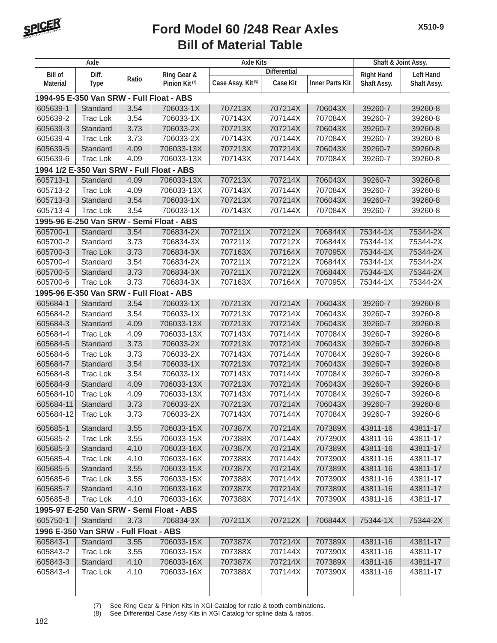

|                 | Axle                                     |       |                                           | <b>Axle Kits</b>              |                     |                        | Shaft & Joint Assy. |                  |
|-----------------|------------------------------------------|-------|-------------------------------------------|-------------------------------|---------------------|------------------------|---------------------|------------------|
| <b>Bill of</b>  | Diff.                                    |       | Ring Gear &                               |                               | <b>Differential</b> |                        | <b>Right Hand</b>   | <b>Left Hand</b> |
| <b>Material</b> | <b>Type</b>                              | Ratio | Pinion Kit <sup>(7)</sup>                 | Case Assy. Kit <sup>(8)</sup> | <b>Case Kit</b>     | <b>Inner Parts Kit</b> | Shaft Assy.         | Shaft Assy.      |
|                 | 1994-95 E-350 Van SRW - Full Float - ABS |       |                                           |                               |                     |                        |                     |                  |
| 605639-1        | Standard                                 | 3.54  | 706033-1X                                 | 707213X                       | 707214X             | 706043X                | 39260-7             | 39260-8          |
| 605639-2        | <b>Trac Lok</b>                          | 3.54  | 706033-1X                                 | 707143X                       | 707144X             | 707084X                | 39260-7             | 39260-8          |
| 605639-3        | Standard                                 | 3.73  | 706033-2X                                 | 707213X                       | 707214X             | 706043X                | 39260-7             | 39260-8          |
| 605639-4        | <b>Trac Lok</b>                          | 3.73  | 706033-2X                                 | 707143X                       | 707144X             | 707084X                | 39260-7             | 39260-8          |
| 605639-5        | Standard                                 | 4.09  | 706033-13X                                | 707213X                       | 707214X             | 706043X                | 39260-7             | 39260-8          |
| 605639-6        | <b>Trac Lok</b>                          | 4.09  | 706033-13X                                | 707143X                       | 707144X             | 707084X                | 39260-7             | 39260-8          |
|                 |                                          |       | 1994 1/2 E-350 Van SRW - Full Float - ABS |                               |                     |                        |                     |                  |
| 605713-1        | Standard                                 | 4.09  | 706033-13X                                | 707213X                       | 707214X             | 706043X                | 39260-7             | 39260-8          |
| 605713-2        | <b>Trac Lok</b>                          | 4.09  | 706033-13X                                | 707143X                       | 707144X             | 707084X                | 39260-7             | 39260-8          |
| 605713-3        | Standard                                 | 3.54  | 706033-1X                                 | 707213X                       | 707214X             | 706043X                | 39260-7             | 39260-8          |
| 605713-4        | <b>Trac Lok</b>                          | 3.54  | 706033-1X                                 | 707143X                       | 707144X             | 707084X                | 39260-7             | 39260-8          |
|                 |                                          |       | 1995-96 E-250 Van SRW - Semi Float - ABS  |                               |                     |                        |                     |                  |
| 605700-1        | Standard                                 | 3.54  | 706834-2X                                 | 707211X                       | 707212X             | 706844X                | 75344-1X            | 75344-2X         |
| 605700-2        | Standard                                 | 3.73  | 706834-3X                                 | 707211X                       | 707212X             | 706844X                | 75344-1X            | 75344-2X         |
| 605700-3        | <b>Trac Lok</b>                          | 3.73  | 706834-3X                                 | 707163X                       | 707164X             | 707095X                | 75344-1X            | 75344-2X         |
| 605700-4        | Standard                                 | 3.54  | 706834-2X                                 | 707211X                       | 707212X             | 706844X                | 75344-1X            | 75344-2X         |
| 605700-5        | Standard                                 | 3.73  | 706834-3X                                 | 707211X                       | 707212X             | 706844X                | 75344-1X            | 75344-2X         |
| 605700-6        | <b>Trac Lok</b>                          | 3.73  | 706834-3X                                 | 707163X                       | 707164X             | 707095X                | 75344-1X            | 75344-2X         |
|                 | 1995-96 E-350 Van SRW - Full Float - ABS |       |                                           |                               |                     |                        |                     |                  |
| 605684-1        | Standard                                 | 3.54  | 706033-1X                                 | 707213X                       | 707214X             | 706043X                | 39260-7             | 39260-8          |
| 605684-2        | Standard                                 | 3.54  | 706033-1X                                 | 707213X                       | 707214X             | 706043X                | 39260-7             | 39260-8          |
| 605684-3        | Standard                                 | 4.09  | 706033-13X                                | 707213X                       | 707214X             | 706043X                | 39260-7             | 39260-8          |
| 605684-4        | <b>Trac Lok</b>                          | 4.09  | 706033-13X                                | 707143X                       | 707144X             | 707084X                | 39260-7             | 39260-8          |
| 605684-5        | Standard                                 | 3.73  | 706033-2X                                 | 707213X                       | 707214X             | 706043X                | 39260-7             | 39260-8          |
| 605684-6        | <b>Trac Lok</b>                          | 3.73  | 706033-2X                                 | 707143X                       | 707144X             | 707084X                | 39260-7             | 39260-8          |
| 605684-7        | Standard                                 | 3.54  | 706033-1X                                 | 707213X                       | 707214X             | 706043X                | 39260-7             | 39260-8          |
| 605684-8        | <b>Trac Lok</b>                          | 3.54  | 706033-1X                                 | 707143X                       | 707144X             | 707084X                | 39260-7             | 39260-8          |
| 605684-9        | Standard                                 | 4.09  | 706033-13X                                | 707213X                       | 707214X             | 706043X                | 39260-7             | 39260-8          |
| 605684-10       | <b>Trac Lok</b>                          | 4.09  | 706033-13X                                | 707143X                       | 707144X             | 707084X                | 39260-7             | 39260-8          |
| 605684-11       | Standard                                 | 3.73  | 706033-2X                                 | 707213X                       | 707214X             | 706043X                | 39260-7             | 39260-8          |
| 605684-12       | <b>Trac Lok</b>                          | 3.73  | 706033-2X                                 | 707143X                       | 707144X             | 707084X                | 39260-7             | 39260-8          |
| 605685-1        | Standard                                 | 3.55  | 706033-15X                                | 707387X                       | 707214X             | 707389X                | 43811-16            | 43811-17         |
| 605685-2        | Trac Lok                                 | 3.55  | 706033-15X                                | 707388X                       | 707144X             | 707390X                | 43811-16            | 43811-17         |
| 605685-3        | Standard                                 | 4.10  | 706033-16X                                | 707387X                       | 707214X             | 707389X                | 43811-16            | 43811-17         |
| 605685-4        | Trac Lok                                 | 4.10  | 706033-16X                                | 707388X                       | 707144X             | 707390X                | 43811-16            | 43811-17         |
| 605685-5        | Standard                                 | 3.55  | 706033-15X                                | 707387X                       | 707214X             | 707389X                | 43811-16            | 43811-17         |
| 605685-6        | Trac Lok                                 | 3.55  | 706033-15X                                | 707388X                       | 707144X             | 707390X                | 43811-16            | 43811-17         |
| 605685-7        | Standard                                 | 4.10  | 706033-16X                                | 707387X                       | 707214X             | 707389X                | 43811-16            | 43811-17         |
| 605685-8        | Trac Lok                                 | 4.10  | 706033-16X                                | 707388X                       | 707144X             | 707390X                | 43811-16            | 43811-17         |
|                 |                                          |       | 1995-97 E-250 Van SRW - Semi Float - ABS  |                               |                     |                        |                     |                  |
| 605750-1        | Standard                                 | 3.73  | 706834-3X                                 | 707211X                       | 707212X             | 706844X                | 75344-1X            | 75344-2X         |
|                 | 1996 E-350 Van SRW - Full Float - ABS    |       |                                           |                               |                     |                        |                     |                  |
| 605843-1        | Standard                                 | 3.55  | 706033-15X                                | 707387X                       | 707214X             | 707389X                | 43811-16            | 43811-17         |
| 605843-2        | Trac Lok                                 | 3.55  | 706033-15X                                | 707388X                       | 707144X             | 707390X                | 43811-16            | 43811-17         |
| 605843-3        | Standard                                 | 4.10  | 706033-16X                                | 707387X                       | 707214X             | 707389X                | 43811-16            | 43811-17         |
| 605843-4        | Trac Lok                                 | 4.10  | 706033-16X                                | 707388X                       | 707144X             | 707390X                | 43811-16            | 43811-17         |
|                 |                                          |       |                                           |                               |                     |                        |                     |                  |

(7) See Ring Gear & Pinion Kits in XGI Catalog for ratio & tooth combinations.<br>(8) See Differential Case Assy Kits in XGI Catalog for spline data & ratios.

See Differential Case Assy Kits in XGI Catalog for spline data & ratios.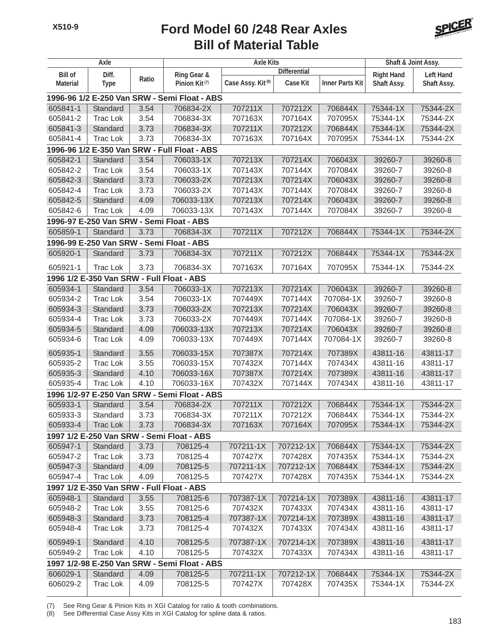

|                 | Axle            |       |                                              | <b>Axle Kits</b>              |                     |                        | Shaft & Joint Assy. |                  |
|-----------------|-----------------|-------|----------------------------------------------|-------------------------------|---------------------|------------------------|---------------------|------------------|
| <b>Bill of</b>  | Diff.           |       | Ring Gear &                                  |                               | <b>Differential</b> |                        | <b>Right Hand</b>   | <b>Left Hand</b> |
| <b>Material</b> | <b>Type</b>     | Ratio | Pinion Kit <sup>(7)</sup>                    | Case Assy. Kit <sup>(8)</sup> | Case Kit            | <b>Inner Parts Kit</b> | Shaft Assy.         | Shaft Assy.      |
|                 |                 |       | 1996-96 1/2 E-250 Van SRW - Semi Float - ABS |                               |                     |                        |                     |                  |
| 605841-1        | Standard        | 3.54  | 706834-2X                                    | 707211X                       | 707212X             | 706844X                | 75344-1X            | 75344-2X         |
| 605841-2        | <b>Trac Lok</b> | 3.54  | 706834-3X                                    | 707163X                       | 707164X             | 707095X                | 75344-1X            | 75344-2X         |
| 605841-3        | Standard        | 3.73  | 706834-3X                                    | 707211X                       | 707212X             | 706844X                | 75344-1X            | 75344-2X         |
| 605841-4        | <b>Trac Lok</b> | 3.73  | 706834-3X                                    | 707163X                       | 707164X             | 707095X                | 75344-1X            | 75344-2X         |
|                 |                 |       | 1996-96 1/2 E-350 Van SRW - Full Float - ABS |                               |                     |                        |                     |                  |
| 605842-1        | Standard        | 3.54  | 706033-1X                                    | 707213X                       | 707214X             | 706043X                | 39260-7             | 39260-8          |
| 605842-2        | <b>Trac Lok</b> | 3.54  | 706033-1X                                    | 707143X                       | 707144X             | 707084X                | 39260-7             | 39260-8          |
| 605842-3        | Standard        | 3.73  | 706033-2X                                    | 707213X                       | 707214X             | 706043X                | 39260-7             | 39260-8          |
| 605842-4        | <b>Trac Lok</b> | 3.73  | 706033-2X                                    | 707143X                       | 707144X             | 707084X                | 39260-7             | 39260-8          |
| 605842-5        | Standard        | 4.09  | 706033-13X                                   | 707213X                       | 707214X             | 706043X                | 39260-7             | 39260-8          |
| 605842-6        | <b>Trac Lok</b> | 4.09  | 706033-13X                                   | 707143X                       | 707144X             | 707084X                | 39260-7             | 39260-8          |
|                 |                 |       | 1996-97 E-250 Van SRW - Semi Float - ABS     |                               |                     |                        |                     |                  |
| 605859-1        | Standard        | 3.73  | 706834-3X                                    | 707211X                       | 707212X             | 706844X                | 75344-1X            | 75344-2X         |
|                 |                 |       | 1996-99 E-250 Van SRW - Semi Float - ABS     |                               |                     |                        |                     |                  |
| 605920-1        | Standard        | 3.73  | 706834-3X                                    | 707211X                       | 707212X             | 706844X                | 75344-1X            | 75344-2X         |
| 605921-1        | <b>Trac Lok</b> | 3.73  | 706834-3X                                    | 707163X                       | 707164X             | 707095X                | 75344-1X            | 75344-2X         |
|                 |                 |       | 1996 1/2 E-350 Van SRW - Full Float - ABS    |                               |                     |                        |                     |                  |
| 605934-1        | Standard        | 3.54  | 706033-1X                                    | 707213X                       | 707214X             | 706043X                | 39260-7             | 39260-8          |
| 605934-2        | <b>Trac Lok</b> | 3.54  | 706033-1X                                    | 707449X                       | 707144X             | 707084-1X              | 39260-7             | 39260-8          |
| 605934-3        | Standard        | 3.73  | 706033-2X                                    | 707213X                       | 707214X             | 706043X                | 39260-7             | 39260-8          |
| 605934-4        | <b>Trac Lok</b> | 3.73  | 706033-2X                                    | 707449X                       | 707144X             | 707084-1X              | 39260-7             | 39260-8          |
| 605934-5        | Standard        | 4.09  | 706033-13X                                   | 707213X                       | 707214X             | 706043X                | 39260-7             | 39260-8          |
| 605934-6        | <b>Trac Lok</b> | 4.09  | 706033-13X                                   | 707449X                       | 707144X             | 707084-1X              | 39260-7             | 39260-8          |
| 605935-1        | Standard        | 3.55  | 706033-15X                                   | 707387X                       | 707214X             | 707389X                | 43811-16            | 43811-17         |
| 605935-2        | <b>Trac Lok</b> | 3.55  | 706033-15X                                   | 707432X                       | 707144X             | 707434X                | 43811-16            | 43811-17         |
| 605935-3        | Standard        | 4.10  | 706033-16X                                   | 707387X                       | 707214X             | 707389X                | 43811-16            | 43811-17         |
| 605935-4        | <b>Trac Lok</b> | 4.10  | 706033-16X                                   | 707432X                       | 707144X             | 707434X                | 43811-16            | 43811-17         |
|                 |                 |       | 1996 1/2-97 E-250 Van SRW - Semi Float - ABS |                               |                     |                        |                     |                  |
| 605933-1        | Standard        | 3.54  | 706834-2X                                    | 707211X                       | 707212X             | 706844X                | 75344-1X            | 75344-2X         |
| 605933-3        | Standard        | 3.73  | 706834-3X                                    | 707211X                       | 707212X             | 706844X                | 75344-1X            | 75344-2X         |
| 605933-4        | <b>Trac Lok</b> | 3.73  | 706834-3X                                    | 707163X                       | 707164X             | 707095X                | 75344-1X            | 75344-2X         |
|                 |                 |       | 1997 1/2 E-250 Van SRW - Semi Float - ABS    |                               |                     |                        |                     |                  |
| 605947-1        | Standard        | 3.73  | 708125-4                                     | 707211-1X                     | 707212-1X           | 706844X                | 75344-1X            | 75344-2X         |
| 605947-2        | Trac Lok        | 3.73  | 708125-4                                     | 707427X                       | 707428X             | 707435X                | 75344-1X            | 75344-2X         |
| 605947-3        | Standard        | 4.09  | 708125-5                                     | 707211-1X                     | 707212-1X           | 706844X                | 75344-1X            | 75344-2X         |
| 605947-4        | <b>Trac Lok</b> | 4.09  | 708125-5                                     | 707427X                       | 707428X             | 707435X                | 75344-1X            | 75344-2X         |
|                 |                 |       | 1997 1/2 E-350 Van SRW - Full Float - ABS    |                               |                     |                        |                     |                  |
| 605948-1        | Standard        | 3.55  | 708125-6                                     | 707387-1X                     | 707214-1X           | 707389X                | 43811-16            | 43811-17         |
| 605948-2        | <b>Trac Lok</b> | 3.55  | 708125-6                                     | 707432X                       | 707433X             | 707434X                | 43811-16            | 43811-17         |
| 605948-3        | Standard        | 3.73  | 708125-4                                     | 707387-1X                     | 707214-1X           | 707389X                | 43811-16            | 43811-17         |
| 605948-4        | Trac Lok        | 3.73  | 708125-4                                     | 707432X                       | 707433X             | 707434X                | 43811-16            | 43811-17         |
| 605949-1        | Standard        | 4.10  | 708125-5                                     | 707387-1X                     | 707214-1X           | 707389X                | 43811-16            | 43811-17         |
| 605949-2        | Trac Lok        | 4.10  | 708125-5                                     | 707432X                       | 707433X             | 707434X                | 43811-16            | 43811-17         |
|                 |                 |       | 1997 1/2-98 E-250 Van SRW - Semi Float - ABS |                               |                     |                        |                     |                  |
| 606029-1        | Standard        | 4.09  | 708125-5                                     | 707211-1X                     | 707212-1X           | 706844X                | 75344-1X            | 75344-2X         |
| 606029-2        | Trac Lok        | 4.09  | 708125-5                                     | 707427X                       | 707428X             | 707435X                | 75344-1X            | 75344-2X         |

(7) See Ring Gear & Pinion Kits in XGI Catalog for ratio & tooth combinations.

(8) See Differential Case Assy Kits in XGI Catalog for spline data & ratios.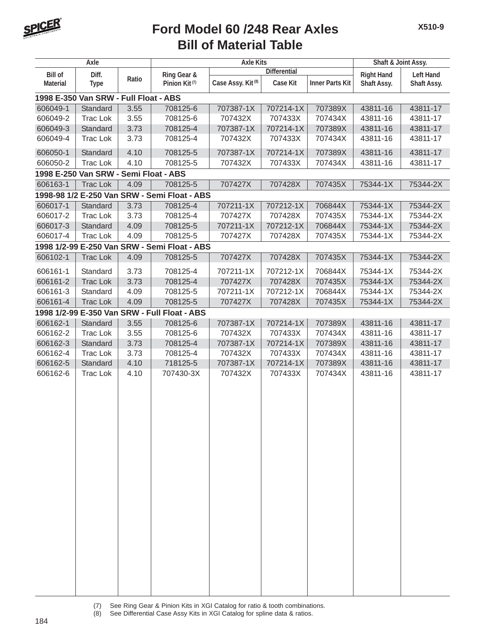

|                 | Axle                                  |       |                                              | <b>Axle Kits</b>              |                     |                        | Shaft & Joint Assy. |                  |
|-----------------|---------------------------------------|-------|----------------------------------------------|-------------------------------|---------------------|------------------------|---------------------|------------------|
| <b>Bill of</b>  | Diff.                                 |       | Ring Gear &                                  |                               | <b>Differential</b> |                        | <b>Right Hand</b>   | <b>Left Hand</b> |
| <b>Material</b> | <b>Type</b>                           | Ratio | Pinion Kit <sup>(7)</sup>                    | Case Assy. Kit <sup>(8)</sup> | <b>Case Kit</b>     | <b>Inner Parts Kit</b> | Shaft Assy.         | Shaft Assy.      |
|                 | 1998 E-350 Van SRW - Full Float - ABS |       |                                              |                               |                     |                        |                     |                  |
| 606049-1        | Standard                              | 3.55  | 708125-6                                     | 707387-1X                     | 707214-1X           | 707389X                | 43811-16            | 43811-17         |
| 606049-2        | <b>Trac Lok</b>                       | 3.55  | 708125-6                                     | 707432X                       | 707433X             | 707434X                | 43811-16            | 43811-17         |
| 606049-3        | Standard                              | 3.73  | 708125-4                                     | 707387-1X                     | 707214-1X           | 707389X                | 43811-16            | 43811-17         |
| 606049-4        | <b>Trac Lok</b>                       | 3.73  | 708125-4                                     | 707432X                       | 707433X             | 707434X                | 43811-16            | 43811-17         |
| 606050-1        | Standard                              | 4.10  | 708125-5                                     | 707387-1X                     | 707214-1X           | 707389X                | 43811-16            | 43811-17         |
| 606050-2        | <b>Trac Lok</b>                       | 4.10  | 708125-5                                     | 707432X                       | 707433X             | 707434X                | 43811-16            | 43811-17         |
|                 | 1998 E-250 Van SRW - Semi Float - ABS |       |                                              |                               |                     |                        |                     |                  |
| 606163-1        | <b>Trac Lok</b>                       | 4.09  | 708125-5                                     | 707427X                       | 707428X             | 707435X                | 75344-1X            | 75344-2X         |
|                 |                                       |       | 1998-98 1/2 E-250 Van SRW - Semi Float - ABS |                               |                     |                        |                     |                  |
| 606017-1        | Standard                              | 3.73  | 708125-4                                     | 707211-1X                     | 707212-1X           | 706844X                | 75344-1X            | 75344-2X         |
| 606017-2        | <b>Trac Lok</b>                       | 3.73  | 708125-4                                     | 707427X                       | 707428X             | 707435X                | 75344-1X            | 75344-2X         |
| 606017-3        | Standard                              | 4.09  | 708125-5                                     | 707211-1X                     | 707212-1X           | 706844X                | 75344-1X            | 75344-2X         |
| 606017-4        | <b>Trac Lok</b>                       | 4.09  | 708125-5                                     | 707427X                       | 707428X             | 707435X                | 75344-1X            | 75344-2X         |
|                 |                                       |       | 1998 1/2-99 E-250 Van SRW - Semi Float - ABS |                               |                     |                        |                     |                  |
| 606102-1        | <b>Trac Lok</b>                       | 4.09  | 708125-5                                     | 707427X                       | 707428X             | 707435X                | 75344-1X            | 75344-2X         |
| 606161-1        | Standard                              | 3.73  | 708125-4                                     | 707211-1X                     | 707212-1X           | 706844X                | 75344-1X            | 75344-2X         |
| 606161-2        | <b>Trac Lok</b>                       | 3.73  | 708125-4                                     | 707427X                       | 707428X             | 707435X                | 75344-1X            | 75344-2X         |
| 606161-3        | Standard                              | 4.09  | 708125-5                                     | 707211-1X                     | 707212-1X           | 706844X                | 75344-1X            | 75344-2X         |
| 606161-4        | <b>Trac Lok</b>                       | 4.09  | 708125-5                                     | 707427X                       | 707428X             | 707435X                | 75344-1X            | 75344-2X         |
|                 |                                       |       | 1998 1/2-99 E-350 Van SRW - Full Float - ABS |                               |                     |                        |                     |                  |
| 606162-1        | Standard                              | 3.55  | 708125-6                                     | 707387-1X                     | 707214-1X           | 707389X                | 43811-16            | 43811-17         |
| 606162-2        | <b>Trac Lok</b>                       | 3.55  | 708125-6                                     | 707432X                       | 707433X             | 707434X                | 43811-16            | 43811-17         |
| 606162-3        | Standard                              | 3.73  | 708125-4                                     | 707387-1X                     | 707214-1X           | 707389X                | 43811-16            | 43811-17         |
| 606162-4        | <b>Trac Lok</b>                       | 3.73  | 708125-4                                     | 707432X                       | 707433X             | 707434X                | 43811-16            | 43811-17         |
| 606162-5        | Standard                              | 4.10  | 718125-5                                     | 707387-1X                     | 707214-1X           | 707389X                | 43811-16            | 43811-17         |
| 606162-6        | <b>Trac Lok</b>                       | 4.10  | 707430-3X                                    | 707432X                       | 707433X             | 707434X                | 43811-16            | 43811-17         |
|                 |                                       |       |                                              |                               |                     |                        |                     |                  |
|                 |                                       |       |                                              |                               |                     |                        |                     |                  |
|                 |                                       |       |                                              |                               |                     |                        |                     |                  |
|                 |                                       |       |                                              |                               |                     |                        |                     |                  |
|                 |                                       |       |                                              |                               |                     |                        |                     |                  |
|                 |                                       |       |                                              |                               |                     |                        |                     |                  |
|                 |                                       |       |                                              |                               |                     |                        |                     |                  |
|                 |                                       |       |                                              |                               |                     |                        |                     |                  |
|                 |                                       |       |                                              |                               |                     |                        |                     |                  |
|                 |                                       |       |                                              |                               |                     |                        |                     |                  |
|                 |                                       |       |                                              |                               |                     |                        |                     |                  |
|                 |                                       |       |                                              |                               |                     |                        |                     |                  |
|                 |                                       |       |                                              |                               |                     |                        |                     |                  |
|                 |                                       |       |                                              |                               |                     |                        |                     |                  |
|                 |                                       |       |                                              |                               |                     |                        |                     |                  |
|                 |                                       |       |                                              |                               |                     |                        |                     |                  |
|                 |                                       |       |                                              |                               |                     |                        |                     |                  |
|                 |                                       |       |                                              |                               |                     |                        |                     |                  |
|                 |                                       |       |                                              |                               |                     |                        |                     |                  |
|                 |                                       |       |                                              |                               |                     |                        |                     |                  |
|                 |                                       |       |                                              |                               |                     |                        |                     |                  |

- (7) See Ring Gear & Pinion Kits in XGI Catalog for ratio & tooth combinations.<br>(8) See Differential Case Assy Kits in XGI Catalog for spline data & ratios.
	- See Differential Case Assy Kits in XGI Catalog for spline data & ratios.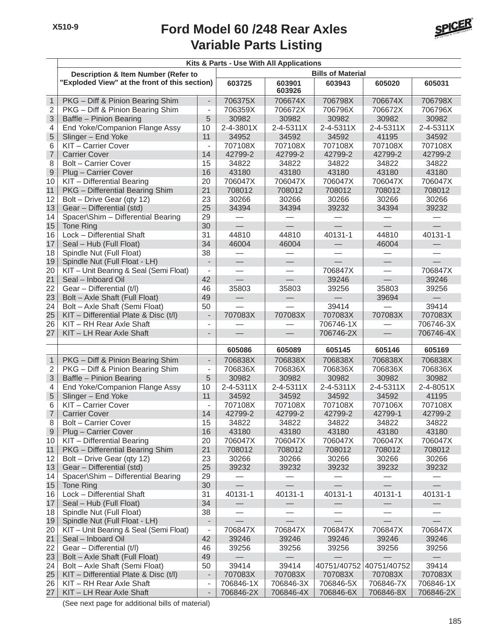

|                  |                                                |                              | Kits & Parts - Use With All Applications |                  |                          |                          |           |
|------------------|------------------------------------------------|------------------------------|------------------------------------------|------------------|--------------------------|--------------------------|-----------|
|                  | <b>Description &amp; Item Number (Refer to</b> |                              |                                          |                  | <b>Bills of Material</b> |                          |           |
|                  | "Exploded View" at the front of this section)  |                              | 603725                                   | 603901<br>603926 | 603943                   | 605020                   | 605031    |
| $\mathbf{1}$     | PKG - Diff & Pinion Bearing Shim               |                              | 706375X                                  | 706674X          | 706798X                  | 706674X                  | 706798X   |
| $\overline{2}$   | PKG - Diff & Pinion Bearing Shim               | $\overline{\phantom{a}}$     | 706359X                                  | 706672X          | 706796X                  | 706672X                  | 706796X   |
| 3                | Baffle - Pinion Bearing                        | 5                            | 30982                                    | 30982            | 30982                    | 30982                    | 30982     |
| 4                | End Yoke/Companion Flange Assy                 | 10                           | 2-4-3801X                                | 2-4-5311X        | 2-4-5311X                | 2-4-5311X                | 2-4-5311X |
| 5                | Slinger - End Yoke                             | 11                           | 34952                                    | 34592            | 34592                    | 41195                    | 34592     |
| 6                | KIT - Carrier Cover                            | $\overline{\phantom{a}}$     | 707108X                                  | 707108X          | 707108X                  | 707108X                  | 707108X   |
| $\overline{7}$   | <b>Carrier Cover</b>                           | 14                           | 42799-2                                  | 42799-2          | 42799-2                  | 42799-2                  | 42799-2   |
| 8                | <b>Bolt - Carrier Cover</b>                    | 15                           | 34822                                    | 34822            | 34822                    | 34822                    | 34822     |
| $\boldsymbol{9}$ | Plug - Carrier Cover                           | 16                           | 43180                                    | 43180            | 43180                    | 43180                    | 43180     |
| 10               | KIT - Differential Bearing                     | 20                           | 706047X                                  | 706047X          | 706047X                  | 706047X                  | 706047X   |
| 11               | PKG - Differential Bearing Shim                | 21                           | 708012                                   | 708012           | 708012                   | 708012                   | 708012    |
| 12               | Bolt - Drive Gear (qty 12)                     | 23                           | 30266                                    | 30266            | 30266                    | 30266                    | 30266     |
| 13               | Gear - Differential (std)                      | 25                           | 34394                                    | 34394            | 39232                    | 34394                    | 39232     |
| 14               | Spacer\Shim - Differential Bearing             | 29                           | $\overline{\phantom{0}}$                 |                  |                          |                          |           |
| 15               | <b>Tone Ring</b>                               | 30                           | $\overline{\phantom{0}}$                 |                  | $\equiv$                 | $\equiv$                 |           |
| 16               | Lock - Differential Shaft                      | 31                           | 44810                                    | 44810            | 40131-1                  | 44810                    | 40131-1   |
| 17               | Seal - Hub (Full Float)                        | 34                           | 46004                                    | 46004            |                          | 46004                    |           |
| 18               | Spindle Nut (Full Float)                       | 38                           |                                          |                  |                          |                          |           |
| 19               | Spindle Nut (Full Float - LH)                  | $\overline{\phantom{a}}$     | $\overline{\phantom{0}}$                 |                  | $\equiv$                 | $\overline{\phantom{0}}$ | L,        |
| 20               | KIT - Unit Bearing & Seal (Semi Float)         | $\overline{\phantom{a}}$     | $\overline{\phantom{0}}$                 | $\equiv$         | 706847X                  | $\overline{\phantom{0}}$ | 706847X   |
| 21               | Seal - Inboard Oil                             | 42                           |                                          |                  | 39246                    | $\equiv$                 | 39246     |
| 22               | Gear - Differential (t/l)                      | 46                           | 35803                                    | 35803            | 39256                    | 35803                    | 39256     |
| 23               | Bolt - Axle Shaft (Full Float)                 | 49                           |                                          |                  |                          | 39694                    |           |
| 24               | Bolt - Axle Shaft (Semi Float)                 | 50                           |                                          |                  | 39414                    |                          | 39414     |
| 25               | KIT - Differential Plate & Disc (t/l)          | $\overline{\phantom{a}}$     | 707083X                                  | 707083X          | 707083X                  | 707083X                  | 707083X   |
| 26               | KIT - RH Rear Axle Shaft                       | $\overline{\phantom{a}}$     |                                          |                  | 706746-1X                |                          | 706746-3X |
| 27               | KIT - LH Rear Axle Shaft                       | $\overline{\phantom{a}}$     |                                          |                  | 706746-2X                | $\overline{\phantom{0}}$ | 706746-4X |
|                  |                                                |                              | 605086                                   | 605089           | 605145                   | 605146                   | 605169    |
| $\mathbf{1}$     | PKG - Diff & Pinion Bearing Shim               | $\blacksquare$               | 706838X                                  | 706838X          | 706838X                  | 706838X                  | 706838X   |
| 2                | PKG - Diff & Pinion Bearing Shim               | $\overline{\phantom{a}}$     | 706836X                                  | 706836X          | 706836X                  | 706836X                  | 706836X   |
| $\mathfrak{S}$   | Baffle - Pinion Bearing                        | 5                            | 30982                                    | 30982            | 30982                    | 30982                    | 30982     |
| 4                | End Yoke/Companion Flange Assy                 | 10                           | $2 - 4 - 5311X$                          | 2-4-5311X        | 2-4-5311X                | 2-4-5311X                | 2-4-8051X |
| $\sqrt{5}$       | Slinger - End Yoke                             | 11                           | 34592                                    | 34592            | 34592                    | 34592                    | 41195     |
| 6                | KIT - Carrier Cover                            | $\overline{\phantom{a}}$     | 707108X                                  | 707108X          | 707108X                  | 707106X                  | 707108X   |
| $\overline{7}$   | <b>Carrier Cover</b>                           | 14                           | 42799-2                                  | 42799-2          | 42799-2                  | 42799-1                  | 42799-2   |
| 8                | <b>Bolt – Carrier Cover</b>                    | 15                           | 34822                                    | 34822            | 34822                    | 34822                    | 34822     |
| $9\,$            | Plug - Carrier Cover                           | 16                           | 43180                                    | 43180            | 43180                    | 43180                    | 43180     |
| 10               | KIT - Differential Bearing                     | 20                           | 706047X                                  | 706047X          | 706047X                  | 706047X                  | 706047X   |
| 11               | PKG - Differential Bearing Shim                | 21                           | 708012                                   | 708012           | 708012                   | 708012                   | 708012    |
| 12               | Bolt - Drive Gear (qty 12)                     | 23                           | 30266                                    | 30266            | 30266                    | 30266                    | 30266     |
| 13               | Gear - Differential (std)                      | 25                           | 39232                                    | 39232            | 39232                    | 39232                    | 39232     |
| 14               | Spacer\Shim - Differential Bearing             | 29                           |                                          |                  |                          |                          |           |
| 15               | Tone Ring                                      | 30                           |                                          |                  |                          |                          |           |
| 16               | Lock - Differential Shaft                      | 31                           | 40131-1                                  | 40131-1          | 40131-1                  | 40131-1                  | 40131-1   |
| 17               | Seal - Hub (Full Float)                        | 34                           |                                          |                  |                          |                          |           |
| 18               | Spindle Nut (Full Float)                       | 38                           |                                          |                  |                          |                          |           |
| 19               | Spindle Nut (Full Float - LH)                  | $\overline{\phantom{a}}$     |                                          |                  |                          |                          |           |
| 20               | KIT - Unit Bearing & Seal (Semi Float)         | $\qquad \qquad \blacksquare$ | 706847X                                  | 706847X          | 706847X                  | 706847X                  | 706847X   |
| 21               | Seal - Inboard Oil                             | 42                           | 39246                                    | 39246            | 39246                    | 39246                    | 39246     |
| 22               | Gear - Differential (t/l)                      | 46                           | 39256                                    | 39256            | 39256                    | 39256                    | 39256     |
| 23               | Bolt - Axle Shaft (Full Float)                 | 49                           |                                          |                  |                          |                          |           |
| 24               | Bolt - Axle Shaft (Semi Float)                 | 50                           | 39414                                    | 39414            | 40751/40752              | 40751/40752              | 39414     |
| 25               | $KIT$ – Differential Plate & Disc (t/l)        | $\blacksquare$               | 707083X                                  | 707083X          | 707083X                  | 707083X                  | 707083X   |
| 26               | KIT - RH Rear Axle Shaft                       | $\qquad \qquad \blacksquare$ | 706846-1X                                | 706846-3X        | 706846-5X                | 706846-7X                | 706846-1X |
| 27               | KIT - LH Rear Axle Shaft                       | $\overline{\phantom{a}}$     | 706846-2X                                | 706846-4X        | 706846-6X                | 706846-8X                | 706846-2X |

(See next page for additional bills of material)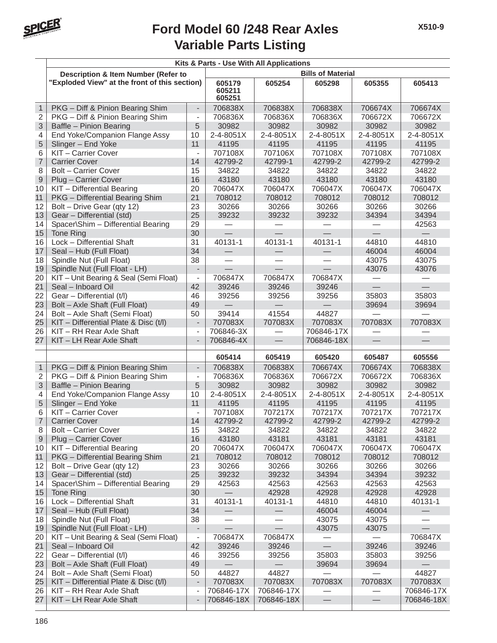

|                     |                                                                         |                                | Kits & Parts - Use With All Applications |                          |                          |                    |                                   |  |  |  |
|---------------------|-------------------------------------------------------------------------|--------------------------------|------------------------------------------|--------------------------|--------------------------|--------------------|-----------------------------------|--|--|--|
|                     | Description & Item Number (Refer to                                     |                                |                                          |                          | <b>Bills of Material</b> |                    |                                   |  |  |  |
|                     | "Exploded View" at the front of this section)                           |                                | 605179<br>605211<br>605251               | 605254                   | 605298                   | 605355             | 605413                            |  |  |  |
| $\mathbf{1}$        | PKG - Diff & Pinion Bearing Shim                                        | $\overline{a}$                 | 706838X                                  | 706838X                  | 706838X                  | 706674X            | 706674X                           |  |  |  |
| $\overline{2}$      | PKG - Diff & Pinion Bearing Shim                                        | $\overline{a}$                 | 706836X                                  | 706836X                  | 706836X                  | 706672X            | 706672X                           |  |  |  |
| 3                   | Baffle - Pinion Bearing                                                 | 5                              | 30982                                    | 30982                    | 30982                    | 30982              | 30982                             |  |  |  |
| 4                   | End Yoke/Companion Flange Assy                                          | 10                             | 2-4-8051X                                | 2-4-8051X                | 2-4-8051X                | 2-4-8051X          | 2-4-8051X                         |  |  |  |
| 5                   | Slinger - End Yoke                                                      | 11                             | 41195                                    | 41195                    | 41195                    | 41195              | 41195                             |  |  |  |
| 6                   | KIT - Carrier Cover                                                     | $\blacksquare$                 | 707108X                                  | 707106X                  | 707108X                  | 707108X            | 707108X                           |  |  |  |
| $\overline{7}$      | <b>Carrier Cover</b>                                                    | 14                             | 42799-2                                  | 42799-1                  | 42799-2                  | 42799-2            | 42799-2                           |  |  |  |
| 8                   | <b>Bolt - Carrier Cover</b>                                             | 15                             | 34822                                    | 34822                    | 34822                    | 34822              | 34822                             |  |  |  |
| $\mathsf 9$         | Plug - Carrier Cover                                                    | 16                             | 43180                                    | 43180                    | 43180                    | 43180              | 43180                             |  |  |  |
| 10                  | KIT - Differential Bearing                                              | 20                             | 706047X                                  | 706047X                  | 706047X                  | 706047X            | 706047X                           |  |  |  |
| 11                  | PKG - Differential Bearing Shim                                         | 21                             | 708012                                   | 708012                   | 708012                   | 708012             | 708012                            |  |  |  |
| 12                  | Bolt - Drive Gear (qty 12)                                              | 23                             | 30266                                    | 30266                    | 30266                    | 30266              | 30266                             |  |  |  |
| 13                  | Gear - Differential (std)                                               | 25                             | 39232                                    | 39232                    | 39232                    | 34394              | 34394                             |  |  |  |
| 14                  | Spacer\Shim - Differential Bearing                                      | 29                             |                                          |                          |                          |                    | 42563                             |  |  |  |
| 15                  | Tone Ring                                                               | 30                             |                                          |                          |                          |                    | $\overbrace{\phantom{12333}}$     |  |  |  |
| 16                  | Lock - Differential Shaft                                               | 31                             | 40131-1                                  | 40131-1                  | 40131-1                  | 44810              | 44810                             |  |  |  |
| 17                  | Seal - Hub (Full Float)                                                 | 34                             |                                          |                          |                          | 46004              | 46004                             |  |  |  |
| 18                  | Spindle Nut (Full Float)                                                | 38                             | $\equiv$                                 |                          |                          | 43075              | 43075                             |  |  |  |
| 19                  | Spindle Nut (Full Float - LH)                                           | $\overline{\phantom{a}}$       |                                          |                          |                          | 43076              | 43076                             |  |  |  |
| 20                  | KIT - Unit Bearing & Seal (Semi Float)                                  | $\qquad \qquad \blacksquare$   | 706847X                                  | 706847X                  | 706847X                  |                    |                                   |  |  |  |
| 21                  | Seal - Inboard Oil                                                      | 42                             | 39246                                    | 39246                    | 39246                    |                    | $\overline{\phantom{0}}$<br>35803 |  |  |  |
| 22                  | Gear - Differential (t/l)                                               | 46                             | 39256                                    | 39256                    | 39256                    | 35803              |                                   |  |  |  |
| 23                  | Bolt - Axle Shaft (Full Float)                                          | 49                             |                                          |                          |                          | 39694              | 39694                             |  |  |  |
| 24<br>25            | Bolt - Axle Shaft (Semi Float)<br>KIT - Differential Plate & Disc (t/l) | 50<br>$\overline{\phantom{a}}$ | 39414<br>707083X                         | 41554<br>707083X         | 44827<br>707083X         | 707083X            | 707083X                           |  |  |  |
| 26                  | KIT - RH Rear Axle Shaft                                                | $\overline{a}$                 | 706846-3X                                |                          | 706846-17X               |                    |                                   |  |  |  |
| 27                  | KIT - LH Rear Axle Shaft                                                | $\overline{a}$                 | 706846-4X                                |                          | 706846-18X               |                    |                                   |  |  |  |
|                     |                                                                         |                                |                                          |                          |                          |                    |                                   |  |  |  |
|                     |                                                                         |                                | 605414                                   | 605419                   | 605420                   | 605487             | 605556                            |  |  |  |
| $\mathbf{1}$        | PKG - Diff & Pinion Bearing Shim                                        | $\overline{a}$                 | 706838X                                  | 706838X                  | 706674X                  | 706674X            | 706838X                           |  |  |  |
| $\overline{2}$      | PKG - Diff & Pinion Bearing Shim                                        | $\overline{\phantom{a}}$       | 706836X                                  | 706836X                  | 706672X                  | 706672X            | 706836X                           |  |  |  |
| 3                   | Baffle - Pinion Bearing                                                 | 5                              | 30982                                    | 30982                    | 30982                    | 30982              | 30982                             |  |  |  |
| 4                   | End Yoke/Companion Flange Assy                                          | 10                             | 2-4-8051X                                | 2-4-8051X                | 2-4-8051X                | 2-4-8051X          | 2-4-8051X                         |  |  |  |
| 5                   | Slinger - End Yoke                                                      | 11                             | 41195                                    | 41195                    | 41195                    | 41195              | 41195                             |  |  |  |
| 6                   | KIT - Carrier Cover<br><b>Carrier Cover</b>                             | $\blacksquare$<br>14           | 707108X<br>42799-2                       | 707217X<br>42799-2       | 707217X<br>42799-2       | 707217X<br>42799-2 | 707217X<br>42799-2                |  |  |  |
| $\overline{7}$<br>8 | <b>Bolt - Carrier Cover</b>                                             | 15                             | 34822                                    | 34822                    |                          | 34822              | 34822                             |  |  |  |
| 9                   | Plug - Carrier Cover                                                    | 16                             | 43180                                    | 43181                    | 34822<br>43181           | 43181              | 43181                             |  |  |  |
| 10                  | KIT - Differential Bearing                                              | 20                             | 706047X                                  | 706047X                  | 706047X                  | 706047X            | 706047X                           |  |  |  |
| 11                  | PKG - Differential Bearing Shim                                         | 21                             | 708012                                   | 708012                   | 708012                   | 708012             | 708012                            |  |  |  |
| 12                  | Bolt - Drive Gear (qty 12)                                              | 23                             | 30266                                    | 30266                    | 30266                    | 30266              | 30266                             |  |  |  |
| 13                  | Gear - Differential (std)                                               | 25                             | 39232                                    | 39232                    | 34394                    | 34394              | 39232                             |  |  |  |
| 14                  | Spacer\Shim - Differential Bearing                                      | 29                             | 42563                                    | 42563                    | 42563                    | 42563              | 42563                             |  |  |  |
| 15                  | Tone Ring                                                               | 30                             |                                          | 42928                    | 42928                    | 42928              | 42928                             |  |  |  |
| 16                  | Lock - Differential Shaft                                               | 31                             | 40131-1                                  | 40131-1                  | 44810                    | 44810              | 40131-1                           |  |  |  |
| 17                  | Seal - Hub (Full Float)                                                 | 34                             | $\qquad \qquad -$                        | $\overline{\phantom{0}}$ | 46004                    | 46004              |                                   |  |  |  |
| 18                  | Spindle Nut (Full Float)                                                | 38                             | $\qquad \qquad$                          | —                        | 43075                    | 43075              |                                   |  |  |  |
| 19                  | Spindle Nut (Full Float - LH)                                           | $\overline{\phantom{a}}$       |                                          |                          | 43075                    | 43075              |                                   |  |  |  |
| 20                  | KIT - Unit Bearing & Seal (Semi Float)                                  | $\overline{\phantom{a}}$       | 706847X                                  | 706847X                  |                          |                    | 706847X                           |  |  |  |
| 21                  | Seal - Inboard Oil                                                      | 42                             | 39246                                    | 39246                    |                          | 39246              | 39246                             |  |  |  |
| 22                  | Gear - Differential (t/l)                                               | 46                             | 39256                                    | 39256                    | 35803                    | 35803              | 39256                             |  |  |  |
| 23                  | Bolt - Axle Shaft (Full Float)                                          | 49                             |                                          |                          | 39694                    | 39694              |                                   |  |  |  |
| 24                  | Bolt - Axle Shaft (Semi Float)                                          | 50                             | 44827                                    | 44827                    |                          |                    | 44827                             |  |  |  |
| 25                  | KIT - Differential Plate & Disc (t/l)                                   | $\overline{\phantom{a}}$       | 707083X                                  | 707083X                  | 707083X                  | 707083X            | 707083X                           |  |  |  |
| 26                  | KIT - RH Rear Axle Shaft                                                | $\overline{a}$                 | 706846-17X                               | 706846-17X               |                          |                    | 706846-17X                        |  |  |  |
| 27                  | KIT - LH Rear Axle Shaft                                                | $\overline{a}$                 | 706846-18X                               | 706846-18X               |                          |                    | 706846-18X                        |  |  |  |
|                     |                                                                         |                                |                                          |                          |                          |                    |                                   |  |  |  |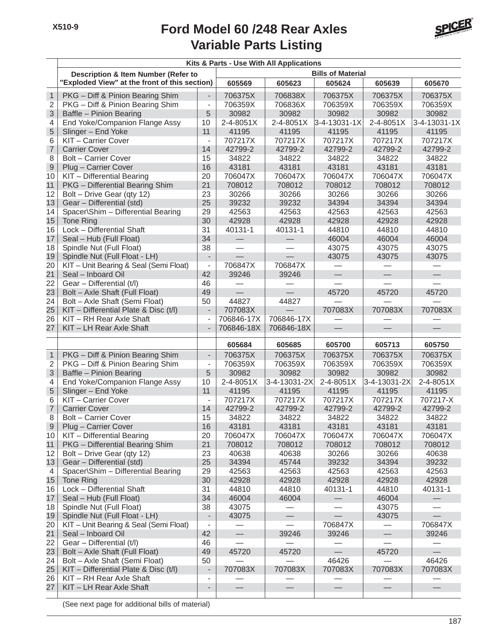

|                  |                                                               |                              |                 | Kits & Parts - Use With All Applications |                          |                          |                          |
|------------------|---------------------------------------------------------------|------------------------------|-----------------|------------------------------------------|--------------------------|--------------------------|--------------------------|
|                  | <b>Description &amp; Item Number (Refer to</b>                |                              |                 |                                          | <b>Bills of Material</b> |                          |                          |
|                  | "Exploded View" at the front of this section)                 |                              | 605569          | 605623                                   | 605624                   | 605639                   | 605670                   |
| $\mathbf{1}$     | PKG - Diff & Pinion Bearing Shim                              | $\overline{\phantom{a}}$     | 706375X         | 706838X                                  | 706375X                  | 706375X                  | 706375X                  |
| $\overline{2}$   | PKG - Diff & Pinion Bearing Shim                              | $\overline{\phantom{0}}$     | 706359X         | 706836X                                  | 706359X                  | 706359X                  | 706359X                  |
| 3                | Baffle - Pinion Bearing                                       | 5                            | 30982           | 30982                                    | 30982                    | 30982                    | 30982                    |
| 4                | End Yoke/Companion Flange Assy                                | 10                           | 2-4-8051X       | 2-4-8051X                                | 3-4-13031-1X             | $2 - 4 - 8051X$          | 3-4-13031-1X             |
| 5                | Slinger - End Yoke                                            | 11                           | 41195           | 41195                                    | 41195                    | 41195                    | 41195                    |
| 6                | KIT - Carrier Cover                                           | $\blacksquare$               | 707217X         | 707217X                                  | 707217X                  | 707217X                  | 707217X                  |
| $\overline{7}$   | <b>Carrier Cover</b>                                          | 14                           | 42799-2         | 42799-2                                  | 42799-2                  | 42799-2                  | 42799-2                  |
| 8                | <b>Bolt - Carrier Cover</b>                                   | 15                           | 34822           | 34822                                    | 34822                    | 34822                    | 34822                    |
| $\boldsymbol{9}$ | Plug - Carrier Cover                                          | 16                           | 43181           | 43181                                    | 43181                    | 43181                    | 43181                    |
| 10               | KIT - Differential Bearing                                    | 20                           | 706047X         | 706047X                                  | 706047X                  | 706047X                  | 706047X                  |
| 11               | PKG - Differential Bearing Shim                               | 21                           | 708012          | 708012                                   | 708012                   | 708012                   | 708012                   |
| 12               | Bolt - Drive Gear (qty 12)                                    | 23                           | 30266           | 30266                                    | 30266                    | 30266                    | 30266                    |
| 13               | Gear - Differential (std)                                     | 25                           | 39232           | 39232                                    | 34394                    | 34394                    | 34394                    |
| 14               | Spacer\Shim - Differential Bearing                            | 29                           | 42563           | 42563                                    | 42563<br>42928           | 42563                    | 42563                    |
| 15               | Tone Ring                                                     | 30                           | 42928           | 42928                                    |                          | 42928                    | 42928                    |
| 16<br>17         | Lock - Differential Shaft<br>Seal - Hub (Full Float)          | 31<br>34                     | 40131-1         | 40131-1                                  | 44810<br>46004           | 44810                    | 44810<br>46004           |
| 18               | Spindle Nut (Full Float)                                      | 38                           |                 |                                          | 43075                    | 46004<br>43075           | 43075                    |
| 19               | Spindle Nut (Full Float - LH)                                 | $\overline{\phantom{a}}$     |                 |                                          | 43075                    | 43075                    | 43075                    |
| 20               | KIT - Unit Bearing & Seal (Semi Float)                        | $\qquad \qquad \blacksquare$ | 706847X         | 706847X                                  |                          |                          |                          |
| 21               | Seal - Inboard Oil                                            | 42                           | 39246           | 39246                                    |                          |                          |                          |
| 22               | Gear - Differential (t/l)                                     | 46                           |                 |                                          |                          |                          |                          |
| 23               | Bolt - Axle Shaft (Full Float)                                | 49                           |                 |                                          | 45720                    | 45720                    | 45720                    |
| 24               | Bolt - Axle Shaft (Semi Float)                                | 50                           | 44827           | 44827                                    |                          |                          |                          |
| 25               | KIT - Differential Plate & Disc (t/l)                         | $\overline{\phantom{a}}$     | 707083X         |                                          | 707083X                  | 707083X                  | 707083X                  |
| 26               | KIT - RH Rear Axle Shaft                                      | $\overline{\phantom{a}}$     | 706846-17X      | 706846-17X                               |                          |                          |                          |
| 27               | KIT - LH Rear Axle Shaft                                      | $\overline{\phantom{0}}$     | 706846-18X      | 706846-18X                               | $\equiv$                 | $\overline{\phantom{0}}$ |                          |
|                  |                                                               |                              |                 |                                          |                          |                          |                          |
|                  |                                                               |                              | 605684          | 605685                                   | 605700                   | 605713                   | 605750                   |
| $\mathbf{1}$     | PKG - Diff & Pinion Bearing Shim                              | $\overline{\phantom{a}}$     | 706375X         | 706375X                                  | 706375X                  | 706375X                  | 706375X                  |
| $\mathbf 2$      | PKG - Diff & Pinion Bearing Shim                              | $\overline{\phantom{a}}$     | 706359X         | 706359X                                  | 706359X                  | 706359X                  | 706359X                  |
| 3                | Baffle - Pinion Bearing                                       | 5                            | 30982           | 30982                                    | 30982                    | 30982                    | 30982                    |
| 4                | End Yoke/Companion Flange Assy                                | 10                           | 2-4-8051X       | 3-4-13031-2X                             | 2-4-8051X                | 3-4-13031-2X             | 2-4-8051X                |
| 5                | Slinger - End Yoke                                            | 11                           | 41195           | 41195                                    | 41195                    | 41195                    | 41195                    |
| 6                | KIT - Carrier Cover                                           | $\qquad \qquad \blacksquare$ | 707217X         | 707217X                                  | 707217X                  | 707217X                  | 707217-X                 |
| $\overline{7}$   | <b>Carrier Cover</b>                                          | 14                           | 42799-2         | 42799-2                                  | 42799-2                  | 42799-2                  | 42799-2                  |
| 8                | <b>Bolt - Carrier Cover</b>                                   | 15                           | 34822           | 34822                                    | 34822                    | 34822                    | 34822                    |
| $\overline{9}$   | Plug - Carrier Cover                                          | 16                           | 43181           | 43181                                    | 43181                    | 43181                    | 43181                    |
| 10               | KIT - Differential Bearing<br>PKG - Differential Bearing Shim | 20                           | 706047X         | 706047X                                  | 706047X                  | 706047X                  | 706047X                  |
| 11<br>12         | Bolt - Drive Gear (qty 12)                                    | 21<br>23                     | 708012<br>40638 | 708012                                   | 708012<br>30266          | 708012                   | 708012<br>40638          |
| 13               | Gear - Differential (std)                                     | 25                           | 34394           | 40638<br>45744                           | 39232                    | 30266<br>34394           | 39232                    |
| 4                | Spacer\Shim - Differential Bearing                            | 29                           | 42563           | 42563                                    | 42563                    | 42563                    | 42563                    |
| 15               | Tone Ring                                                     | 30                           | 42928           | 42928                                    | 42928                    | 42928                    | 42928                    |
| 16               | Lock - Differential Shaft                                     | 31                           | 44810           | 44810                                    | 40131-1                  | 44810                    | 40131-1                  |
| 17               | Seal - Hub (Full Float)                                       | 34                           | 46004           | 46004                                    |                          | 46004                    |                          |
| 18               | Spindle Nut (Full Float)                                      | 38                           | 43075           |                                          |                          | 43075                    |                          |
| 19               | Spindle Nut (Full Float - LH)                                 | $\overline{\phantom{a}}$     | 43075           | $\overline{\phantom{0}}$                 |                          | 43075                    | $\overline{\phantom{0}}$ |
| 20               | KIT - Unit Bearing & Seal (Semi Float)                        | $\qquad \qquad \blacksquare$ |                 |                                          | 706847X                  |                          | 706847X                  |
| 21               | Seal - Inboard Oil                                            | 42                           |                 | 39246                                    | 39246                    | $\qquad \qquad -$        | 39246                    |
| 22               | Gear - Differential (t/l)                                     | 46                           |                 |                                          |                          |                          |                          |
| 23               | Bolt - Axle Shaft (Full Float)                                | 49                           | 45720           | 45720                                    | $\qquad \qquad -$        | 45720                    | $\equiv$                 |
| 24               | Bolt - Axle Shaft (Semi Float)                                | 50                           |                 |                                          | 46426                    |                          | 46426                    |
| 25               | $KIT$ – Differential Plate & Disc (t/l)                       | $\overline{\phantom{a}}$     | 707083X         | 707083X                                  | 707083X                  | 707083X                  | 707083X                  |
| 26               | KIT - RH Rear Axle Shaft                                      | $\overline{\phantom{a}}$     |                 |                                          |                          |                          |                          |
| 27               | KIT - LH Rear Axle Shaft                                      | $\overline{\phantom{a}}$     |                 |                                          |                          | $\qquad \qquad -$        |                          |
|                  |                                                               |                              |                 |                                          |                          |                          |                          |

(See next page for additional bills of material)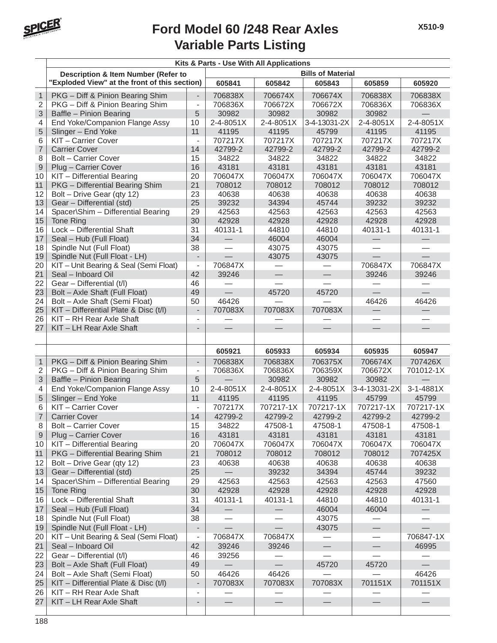

|                |                                                |                          | Kits & Parts - Use With All Applications |                          |                          |                          |           |
|----------------|------------------------------------------------|--------------------------|------------------------------------------|--------------------------|--------------------------|--------------------------|-----------|
|                | <b>Description &amp; Item Number (Refer to</b> |                          |                                          |                          | <b>Bills of Material</b> |                          |           |
|                | "Exploded View" at the front of this section)  |                          | 605841                                   | 605842                   | 605843                   | 605859                   | 605920    |
| $\mathbf{1}$   | PKG - Diff & Pinion Bearing Shim               | $\blacksquare$           | 706838X                                  | 706674X                  | 706674X                  | 706838X                  | 706838X   |
| $\overline{2}$ | PKG - Diff & Pinion Bearing Shim               | $\overline{\phantom{a}}$ | 706836X                                  | 706672X                  | 706672X                  | 706836X                  | 706836X   |
| 3              | Baffle - Pinion Bearing                        | 5                        | 30982                                    | 30982                    | 30982                    | 30982                    |           |
| 4              | End Yoke/Companion Flange Assy                 | 10                       | 2-4-8051X                                | 2-4-8051X                | 3-4-13031-2X             | 2-4-8051X                | 2-4-8051X |
| 5              | Slinger - End Yoke                             | 11                       | 41195                                    | 41195                    | 45799                    | 41195                    | 41195     |
| 6              | KIT - Carrier Cover                            | $\blacksquare$           | 707217X                                  | 707217X                  | 707217X                  | 707217X                  | 707217X   |
| $\overline{7}$ | <b>Carrier Cover</b>                           | 14                       | 42799-2                                  | 42799-2                  | 42799-2                  | 42799-2                  | 42799-2   |
| 8              | <b>Bolt - Carrier Cover</b>                    | 15                       | 34822                                    | 34822                    | 34822                    | 34822                    | 34822     |
| $\overline{9}$ | Plug - Carrier Cover                           | 16                       | 43181                                    | 43181                    | 43181                    | 43181                    | 43181     |
| 10             | KIT - Differential Bearing                     | 20                       | 706047X                                  | 706047X                  | 706047X                  | 706047X                  | 706047X   |
| 11             | PKG - Differential Bearing Shim                | 21                       | 708012                                   | 708012                   | 708012                   | 708012                   | 708012    |
| 12             | Bolt - Drive Gear (qty 12)                     | 23                       | 40638                                    | 40638                    | 40638                    | 40638                    | 40638     |
| 13             | Gear - Differential (std)                      | 25                       | 39232                                    | 34394                    | 45744                    | 39232                    | 39232     |
| 14             | Spacer\Shim - Differential Bearing             | 29                       | 42563                                    | 42563                    | 42563                    | 42563                    | 42563     |
| 15             | Tone Ring                                      | 30                       | 42928                                    | 42928                    | 42928                    | 42928                    | 42928     |
| 16             | Lock - Differential Shaft                      | 31                       | 40131-1                                  | 44810                    | 44810                    | 40131-1                  | 40131-1   |
| 17             | Seal - Hub (Full Float)                        | 34                       | $\overbrace{\phantom{123221111}}$        | 46004                    | 46004                    |                          |           |
| 18             | Spindle Nut (Full Float)                       | 38                       |                                          | 43075                    | 43075                    |                          |           |
| 19             | Spindle Nut (Full Float - LH)                  | $\overline{a}$           |                                          | 43075                    | 43075                    |                          |           |
| 20             | KIT - Unit Bearing & Seal (Semi Float)         | $\overline{a}$           | 706847X                                  |                          |                          | 706847X                  | 706847X   |
| 21             | Seal - Inboard Oil                             | 42                       | 39246                                    | $\qquad \qquad -$        |                          | 39246                    | 39246     |
| 22             | Gear - Differential (t/l)                      | 46                       |                                          |                          |                          |                          |           |
| 23             | Bolt - Axle Shaft (Full Float)                 | 49                       | $\overline{\phantom{0}}$                 | 45720                    | 45720                    | $\overline{\phantom{0}}$ | $\equiv$  |
| 24             | Bolt - Axle Shaft (Semi Float)                 | 50                       | 46426                                    |                          |                          | 46426                    | 46426     |
| 25             | KIT - Differential Plate & Disc (t/l)          | $\overline{a}$           | 707083X                                  | 707083X                  | 707083X                  |                          |           |
| 26             | KIT - RH Rear Axle Shaft                       | $\overline{\phantom{a}}$ |                                          |                          |                          |                          |           |
| 27             | KIT - LH Rear Axle Shaft                       |                          |                                          |                          |                          |                          |           |
|                |                                                |                          |                                          |                          |                          |                          |           |
|                |                                                |                          | 605921                                   | 605933                   | 605934                   | 605935                   | 605947    |
| $\overline{1}$ | PKG - Diff & Pinion Bearing Shim               | $\overline{\phantom{a}}$ | 706838X                                  | 706838X                  | 706375X                  | 706674X                  | 707426X   |
| $\overline{2}$ | PKG - Diff & Pinion Bearing Shim               | $\overline{\phantom{a}}$ | 706836X                                  | 706836X                  | 706359X                  | 706672X                  | 701012-1X |
|                |                                                | 5                        |                                          | 30982                    | 30982                    | 30982                    |           |
| 3              | Baffle - Pinion Bearing                        |                          |                                          |                          |                          |                          |           |
| $\overline{4}$ | End Yoke/Companion Flange Assy                 | 10                       | 2-4-8051X                                | 2-4-8051X                | 2-4-8051X                | 3-4-13031-2X             | 3-1-4881X |
| 5              | Slinger - End Yoke                             | 11                       | 41195                                    | 41195                    | 41195                    | 45799                    | 45799     |
| 6              | KIT - Carrier Cover                            | $\frac{1}{2}$            | 707217X                                  | 707217-1X                | 707217-1X                | 707217-1X                | 707217-1X |
| $\overline{7}$ | <b>Carrier Cover</b>                           | 14                       | 42799-2                                  | 42799-2                  | 42799-2                  | 42799-2                  | 42799-2   |
| 8              | Bolt – Carrier Cover                           | 15                       | 34822                                    | 47508-1                  | 47508-1                  | 47508-1                  | 47508-1   |
| 9              | Plug - Carrier Cover                           | 16                       | 43181                                    | 43181                    | 43181                    | 43181                    | 43181     |
| 10             | KIT - Differential Bearing                     | 20                       | 706047X                                  | 706047X                  | 706047X                  | 706047X                  | 706047X   |
| 11             | PKG - Differential Bearing Shim                | 21                       | 708012                                   | 708012                   | 708012                   | 708012                   | 707425X   |
| 12             | Bolt - Drive Gear (qty 12)                     | 23                       | 40638                                    | 40638                    | 40638                    | 40638                    | 40638     |
| 13             | Gear - Differential (std)                      | 25                       |                                          | 39232                    | 34394                    | 45744                    | 39232     |
| 14             | Spacer\Shim - Differential Bearing             | 29                       | 42563                                    | 42563                    | 42563                    | 42563                    | 47560     |
| 15             | Tone Ring                                      | 30                       | 42928                                    | 42928                    | 42928                    | 42928                    | 42928     |
| 16             | Lock - Differential Shaft                      | 31                       | 40131-1                                  | 40131-1                  | 44810                    | 44810                    | 40131-1   |
| 17             | Seal - Hub (Full Float)                        | 34                       |                                          | $\overline{\phantom{0}}$ | 46004                    | 46004                    |           |
| 18             | Spindle Nut (Full Float)                       | 38                       |                                          |                          | 43075                    |                          |           |
| 19             | Spindle Nut (Full Float - LH)                  | -                        |                                          |                          | 43075                    |                          |           |
| 20             | KIT - Unit Bearing & Seal (Semi Float)         | $\overline{\phantom{a}}$ | 706847X                                  | 706847X                  |                          |                          | 706847-1X |
| 21             | Seal - Inboard Oil                             | 42                       | 39246                                    | 39246                    |                          |                          | 46995     |
| 22             | Gear - Differential (t/l)                      | 46                       | 39256                                    |                          |                          |                          |           |
| 23             | Bolt - Axle Shaft (Full Float)                 | 49                       |                                          |                          | 45720                    | 45720                    |           |
| 24             | Bolt - Axle Shaft (Semi Float)                 | 50                       | 46426                                    | 46426                    |                          |                          | 46426     |
| 25             | KIT - Differential Plate & Disc (t/l)          | $\overline{\phantom{a}}$ | 707083X                                  | 707083X                  | 707083X                  | 701151X                  | 701151X   |
| 26             | KIT - RH Rear Axle Shaft                       | $\overline{\phantom{a}}$ |                                          |                          |                          |                          |           |
| 27             | KIT - LH Rear Axle Shaft                       | $\overline{\phantom{m}}$ |                                          |                          |                          |                          |           |